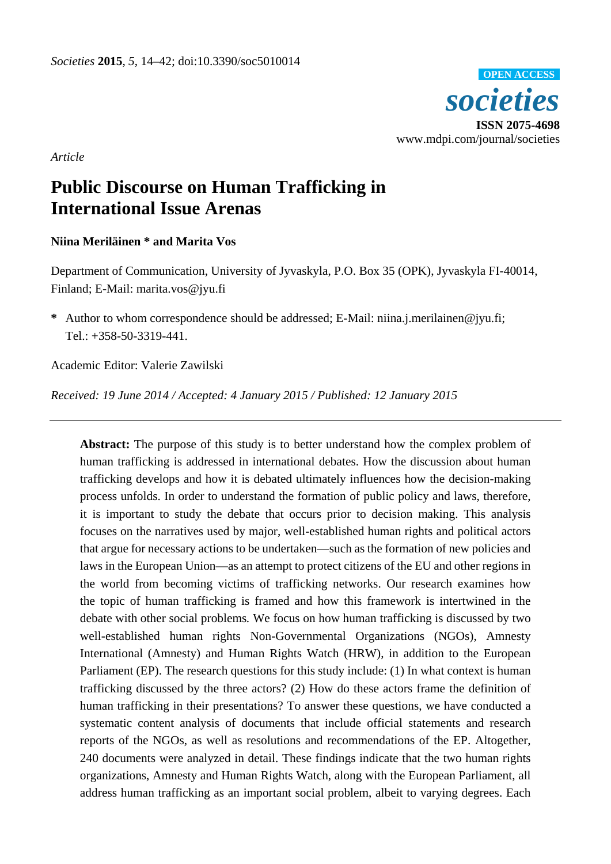

*Article*

# **Public Discourse on Human Trafficking in International Issue Arenas**

# **Niina Meriläinen \* and Marita Vos**

Department of Communication, University of Jyvaskyla, P.O. Box 35 (OPK), Jyvaskyla FI-40014, Finland; E-Mail: marita.vos@jyu.fi

**\*** Author to whom correspondence should be addressed; E-Mail: niina.j.merilainen@jyu.fi; Tel.: +358-50-3319-441.

Academic Editor: Valerie Zawilski

*Received: 19 June 2014 / Accepted: 4 January 2015 / Published: 12 January 2015*

**Abstract:** The purpose of this study is to better understand how the complex problem of human trafficking is addressed in international debates. How the discussion about human trafficking develops and how it is debated ultimately influences how the decision-making process unfolds. In order to understand the formation of public policy and laws, therefore, it is important to study the debate that occurs prior to decision making. This analysis focuses on the narratives used by major, well-established human rights and political actors that argue for necessary actions to be undertaken—such as the formation of new policies and laws in the European Union—as an attempt to protect citizens of the EU and other regions in the world from becoming victims of trafficking networks. Our research examines how the topic of human trafficking is framed and how this framework is intertwined in the debate with other social problems*.* We focus on how human trafficking is discussed by two well-established human rights Non-Governmental Organizations (NGOs), Amnesty International (Amnesty) and Human Rights Watch (HRW), in addition to the European Parliament (EP). The research questions for this study include: (1) In what context is human trafficking discussed by the three actors? (2) How do these actors frame the definition of human trafficking in their presentations? To answer these questions, we have conducted a systematic content analysis of documents that include official statements and research reports of the NGOs, as well as resolutions and recommendations of the EP. Altogether, 240 documents were analyzed in detail. These findings indicate that the two human rights organizations, Amnesty and Human Rights Watch, along with the European Parliament, all address human trafficking as an important social problem, albeit to varying degrees. Each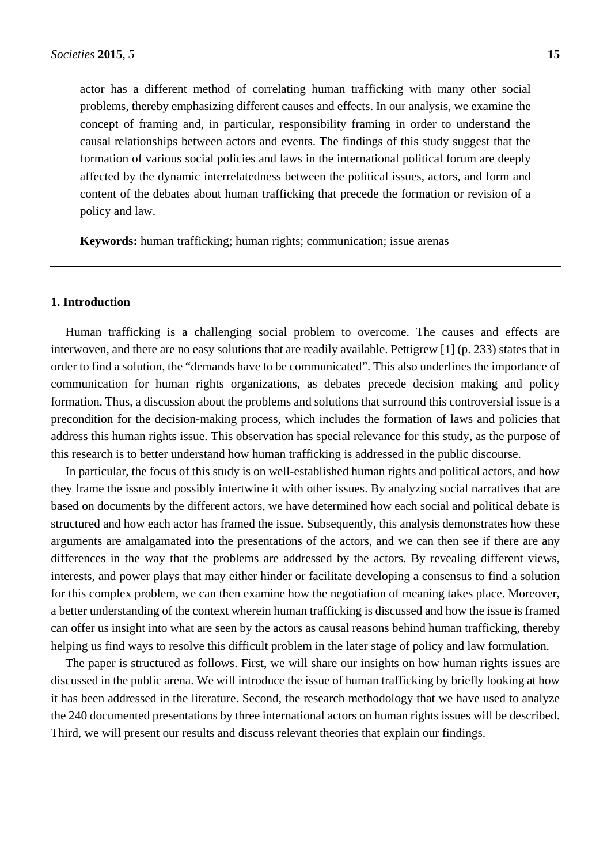actor has a different method of correlating human trafficking with many other social problems, thereby emphasizing different causes and effects. In our analysis, we examine the concept of framing and, in particular, responsibility framing in order to understand the causal relationships between actors and events. The findings of this study suggest that the formation of various social policies and laws in the international political forum are deeply affected by the dynamic interrelatedness between the political issues, actors, and form and content of the debates about human trafficking that precede the formation or revision of a policy and law.

**Keywords:** human trafficking; human rights; communication; issue arenas

## **1. Introduction**

Human trafficking is a challenging social problem to overcome. The causes and effects are interwoven, and there are no easy solutions that are readily available. Pettigrew [1] (p. 233) states that in order to find a solution, the "demands have to be communicated". This also underlines the importance of communication for human rights organizations, as debates precede decision making and policy formation. Thus, a discussion about the problems and solutions that surround this controversial issue is a precondition for the decision-making process, which includes the formation of laws and policies that address this human rights issue. This observation has special relevance for this study, as the purpose of this research is to better understand how human trafficking is addressed in the public discourse.

In particular, the focus of this study is on well-established human rights and political actors, and how they frame the issue and possibly intertwine it with other issues. By analyzing social narratives that are based on documents by the different actors, we have determined how each social and political debate is structured and how each actor has framed the issue. Subsequently, this analysis demonstrates how these arguments are amalgamated into the presentations of the actors, and we can then see if there are any differences in the way that the problems are addressed by the actors. By revealing different views, interests, and power plays that may either hinder or facilitate developing a consensus to find a solution for this complex problem, we can then examine how the negotiation of meaning takes place. Moreover, a better understanding of the context wherein human trafficking is discussed and how the issue is framed can offer us insight into what are seen by the actors as causal reasons behind human trafficking, thereby helping us find ways to resolve this difficult problem in the later stage of policy and law formulation.

The paper is structured as follows. First, we will share our insights on how human rights issues are discussed in the public arena. We will introduce the issue of human trafficking by briefly looking at how it has been addressed in the literature. Second, the research methodology that we have used to analyze the 240 documented presentations by three international actors on human rights issues will be described. Third, we will present our results and discuss relevant theories that explain our findings.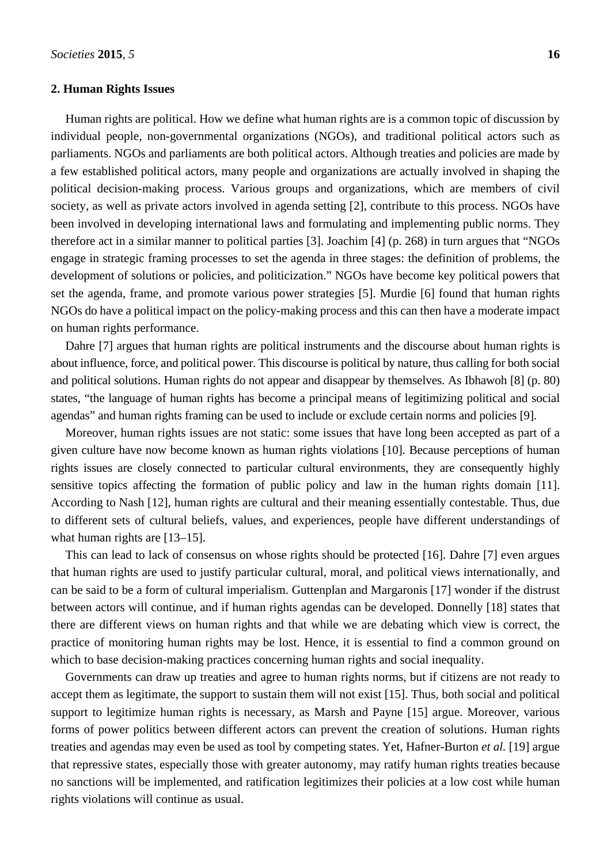## **2. Human Rights Issues**

Human rights are political. How we define what human rights are is a common topic of discussion by individual people, non-governmental organizations (NGOs), and traditional political actors such as parliaments. NGOs and parliaments are both political actors. Although treaties and policies are made by a few established political actors, many people and organizations are actually involved in shaping the political decision-making process. Various groups and organizations, which are members of civil society, as well as private actors involved in agenda setting [2], contribute to this process. NGOs have been involved in developing international laws and formulating and implementing public norms. They therefore act in a similar manner to political parties [3]. Joachim [4] (p. 268) in turn argues that "NGOs engage in strategic framing processes to set the agenda in three stages: the definition of problems, the development of solutions or policies, and politicization." NGOs have become key political powers that set the agenda, frame, and promote various power strategies [5]. Murdie [6] found that human rights NGOs do have a political impact on the policy-making process and this can then have a moderate impact on human rights performance.

Dahre [7] argues that human rights are political instruments and the discourse about human rights is about influence, force, and political power. This discourse is political by nature, thus calling for both social and political solutions. Human rights do not appear and disappear by themselves. As Ibhawoh [8] (p. 80) states, "the language of human rights has become a principal means of legitimizing political and social agendas" and human rights framing can be used to include or exclude certain norms and policies [9].

Moreover, human rights issues are not static: some issues that have long been accepted as part of a given culture have now become known as human rights violations [10]. Because perceptions of human rights issues are closely connected to particular cultural environments, they are consequently highly sensitive topics affecting the formation of public policy and law in the human rights domain [11]. According to Nash [12], human rights are cultural and their meaning essentially contestable. Thus, due to different sets of cultural beliefs, values, and experiences, people have different understandings of what human rights are [13–15].

This can lead to lack of consensus on whose rights should be protected [16]. Dahre [7] even argues that human rights are used to justify particular cultural, moral, and political views internationally, and can be said to be a form of cultural imperialism. Guttenplan and Margaronis [17] wonder if the distrust between actors will continue, and if human rights agendas can be developed. Donnelly [18] states that there are different views on human rights and that while we are debating which view is correct, the practice of monitoring human rights may be lost. Hence, it is essential to find a common ground on which to base decision-making practices concerning human rights and social inequality.

Governments can draw up treaties and agree to human rights norms, but if citizens are not ready to accept them as legitimate, the support to sustain them will not exist [15]. Thus, both social and political support to legitimize human rights is necessary, as Marsh and Payne [15] argue. Moreover, various forms of power politics between different actors can prevent the creation of solutions. Human rights treaties and agendas may even be used as tool by competing states. Yet, Hafner-Burton *et al.* [19] argue that repressive states, especially those with greater autonomy, may ratify human rights treaties because no sanctions will be implemented, and ratification legitimizes their policies at a low cost while human rights violations will continue as usual.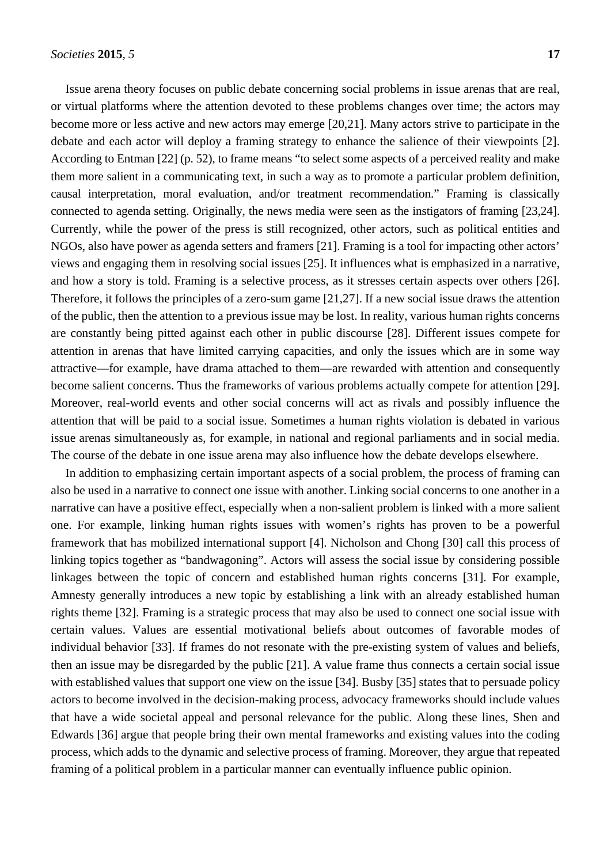Issue arena theory focuses on public debate concerning social problems in issue arenas that are real, or virtual platforms where the attention devoted to these problems changes over time; the actors may become more or less active and new actors may emerge [20,21]. Many actors strive to participate in the debate and each actor will deploy a framing strategy to enhance the salience of their viewpoints [2]. According to Entman [22] (p. 52), to frame means "to select some aspects of a perceived reality and make them more salient in a communicating text, in such a way as to promote a particular problem definition, causal interpretation, moral evaluation, and/or treatment recommendation." Framing is classically connected to agenda setting. Originally, the news media were seen as the instigators of framing [23,24]. Currently, while the power of the press is still recognized, other actors, such as political entities and NGOs, also have power as agenda setters and framers [21]. Framing is a tool for impacting other actors' views and engaging them in resolving social issues [25]. It influences what is emphasized in a narrative, and how a story is told. Framing is a selective process, as it stresses certain aspects over others [26]. Therefore, it follows the principles of a zero-sum game [21,27]. If a new social issue draws the attention of the public, then the attention to a previous issue may be lost. In reality, various human rights concerns are constantly being pitted against each other in public discourse [28]. Different issues compete for attention in arenas that have limited carrying capacities, and only the issues which are in some way attractive—for example, have drama attached to them—are rewarded with attention and consequently become salient concerns. Thus the frameworks of various problems actually compete for attention [29]. Moreover, real-world events and other social concerns will act as rivals and possibly influence the attention that will be paid to a social issue. Sometimes a human rights violation is debated in various issue arenas simultaneously as, for example, in national and regional parliaments and in social media. The course of the debate in one issue arena may also influence how the debate develops elsewhere.

In addition to emphasizing certain important aspects of a social problem, the process of framing can also be used in a narrative to connect one issue with another. Linking social concerns to one another in a narrative can have a positive effect, especially when a non-salient problem is linked with a more salient one. For example, linking human rights issues with women's rights has proven to be a powerful framework that has mobilized international support [4]. Nicholson and Chong [30] call this process of linking topics together as "bandwagoning". Actors will assess the social issue by considering possible linkages between the topic of concern and established human rights concerns [31]. For example, Amnesty generally introduces a new topic by establishing a link with an already established human rights theme [32]. Framing is a strategic process that may also be used to connect one social issue with certain values. Values are essential motivational beliefs about outcomes of favorable modes of individual behavior [33]. If frames do not resonate with the pre-existing system of values and beliefs, then an issue may be disregarded by the public [21]. A value frame thus connects a certain social issue with established values that support one view on the issue [34]. Busby [35] states that to persuade policy actors to become involved in the decision-making process, advocacy frameworks should include values that have a wide societal appeal and personal relevance for the public. Along these lines, Shen and Edwards [36] argue that people bring their own mental frameworks and existing values into the coding process, which adds to the dynamic and selective process of framing. Moreover, they argue that repeated framing of a political problem in a particular manner can eventually influence public opinion.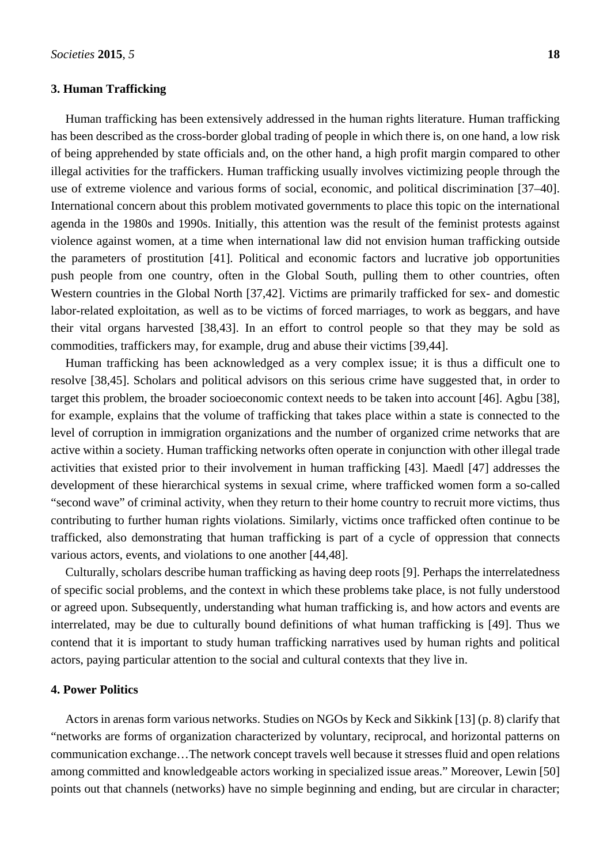## **3. Human Trafficking**

Human trafficking has been extensively addressed in the human rights literature. Human trafficking has been described as the cross-border global trading of people in which there is, on one hand, a low risk of being apprehended by state officials and, on the other hand, a high profit margin compared to other illegal activities for the traffickers. Human trafficking usually involves victimizing people through the use of extreme violence and various forms of social, economic, and political discrimination [37–40]. International concern about this problem motivated governments to place this topic on the international agenda in the 1980s and 1990s. Initially, this attention was the result of the feminist protests against violence against women, at a time when international law did not envision human trafficking outside the parameters of prostitution [41]. Political and economic factors and lucrative job opportunities push people from one country, often in the Global South, pulling them to other countries, often Western countries in the Global North [37,42]. Victims are primarily trafficked for sex- and domestic labor-related exploitation, as well as to be victims of forced marriages, to work as beggars, and have their vital organs harvested [38,43]. In an effort to control people so that they may be sold as commodities, traffickers may, for example, drug and abuse their victims [39,44].

Human trafficking has been acknowledged as a very complex issue; it is thus a difficult one to resolve [38,45]. Scholars and political advisors on this serious crime have suggested that, in order to target this problem, the broader socioeconomic context needs to be taken into account [46]. Agbu [38], for example, explains that the volume of trafficking that takes place within a state is connected to the level of corruption in immigration organizations and the number of organized crime networks that are active within a society. Human trafficking networks often operate in conjunction with other illegal trade activities that existed prior to their involvement in human trafficking [43]. Maedl [47] addresses the development of these hierarchical systems in sexual crime, where trafficked women form a so-called "second wave" of criminal activity, when they return to their home country to recruit more victims, thus contributing to further human rights violations. Similarly, victims once trafficked often continue to be trafficked, also demonstrating that human trafficking is part of a cycle of oppression that connects various actors, events, and violations to one another [44,48].

Culturally, scholars describe human trafficking as having deep roots [9]. Perhaps the interrelatedness of specific social problems, and the context in which these problems take place, is not fully understood or agreed upon. Subsequently, understanding what human trafficking is, and how actors and events are interrelated, may be due to culturally bound definitions of what human trafficking is [49]. Thus we contend that it is important to study human trafficking narratives used by human rights and political actors, paying particular attention to the social and cultural contexts that they live in.

# **4. Power Politics**

Actors in arenas form various networks. Studies on NGOs by Keck and Sikkink [13] (p. 8) clarify that "networks are forms of organization characterized by voluntary, reciprocal, and horizontal patterns on communication exchange…The network concept travels well because it stresses fluid and open relations among committed and knowledgeable actors working in specialized issue areas." Moreover, Lewin [50] points out that channels (networks) have no simple beginning and ending, but are circular in character;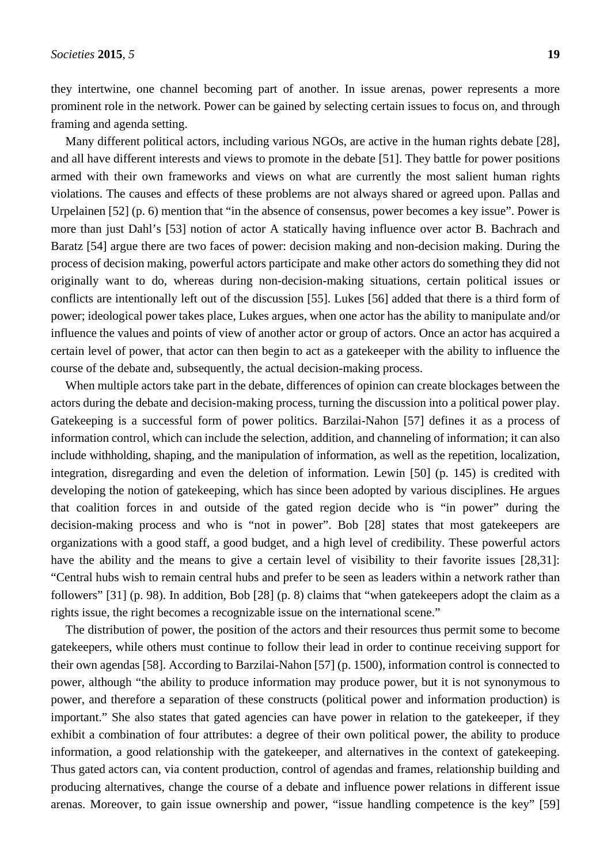they intertwine, one channel becoming part of another. In issue arenas, power represents a more prominent role in the network. Power can be gained by selecting certain issues to focus on, and through framing and agenda setting.

Many different political actors, including various NGOs, are active in the human rights debate [28], and all have different interests and views to promote in the debate [51]. They battle for power positions armed with their own frameworks and views on what are currently the most salient human rights violations. The causes and effects of these problems are not always shared or agreed upon. Pallas and Urpelainen [52] (p. 6) mention that "in the absence of consensus, power becomes a key issue". Power is more than just Dahl's [53] notion of actor A statically having influence over actor B. Bachrach and Baratz [54] argue there are two faces of power: decision making and non-decision making. During the process of decision making, powerful actors participate and make other actors do something they did not originally want to do, whereas during non-decision-making situations, certain political issues or conflicts are intentionally left out of the discussion [55]. Lukes [56] added that there is a third form of power; ideological power takes place, Lukes argues, when one actor has the ability to manipulate and/or influence the values and points of view of another actor or group of actors. Once an actor has acquired a certain level of power, that actor can then begin to act as a gatekeeper with the ability to influence the course of the debate and, subsequently, the actual decision-making process.

When multiple actors take part in the debate, differences of opinion can create blockages between the actors during the debate and decision-making process, turning the discussion into a political power play. Gatekeeping is a successful form of power politics. Barzilai-Nahon [57] defines it as a process of information control, which can include the selection, addition, and channeling of information; it can also include withholding, shaping, and the manipulation of information, as well as the repetition, localization, integration, disregarding and even the deletion of information. Lewin [50] (p. 145) is credited with developing the notion of gatekeeping, which has since been adopted by various disciplines. He argues that coalition forces in and outside of the gated region decide who is "in power" during the decision-making process and who is "not in power". Bob [28] states that most gatekeepers are organizations with a good staff, a good budget, and a high level of credibility. These powerful actors have the ability and the means to give a certain level of visibility to their favorite issues [28,31]: "Central hubs wish to remain central hubs and prefer to be seen as leaders within a network rather than followers" [31] (p. 98). In addition, Bob [28] (p. 8) claims that "when gatekeepers adopt the claim as a rights issue, the right becomes a recognizable issue on the international scene."

The distribution of power, the position of the actors and their resources thus permit some to become gatekeepers, while others must continue to follow their lead in order to continue receiving support for their own agendas [58]. According to Barzilai-Nahon [57] (p. 1500), information control is connected to power, although "the ability to produce information may produce power, but it is not synonymous to power, and therefore a separation of these constructs (political power and information production) is important." She also states that gated agencies can have power in relation to the gatekeeper, if they exhibit a combination of four attributes: a degree of their own political power, the ability to produce information, a good relationship with the gatekeeper, and alternatives in the context of gatekeeping. Thus gated actors can, via content production, control of agendas and frames, relationship building and producing alternatives, change the course of a debate and influence power relations in different issue arenas. Moreover, to gain issue ownership and power, "issue handling competence is the key" [59]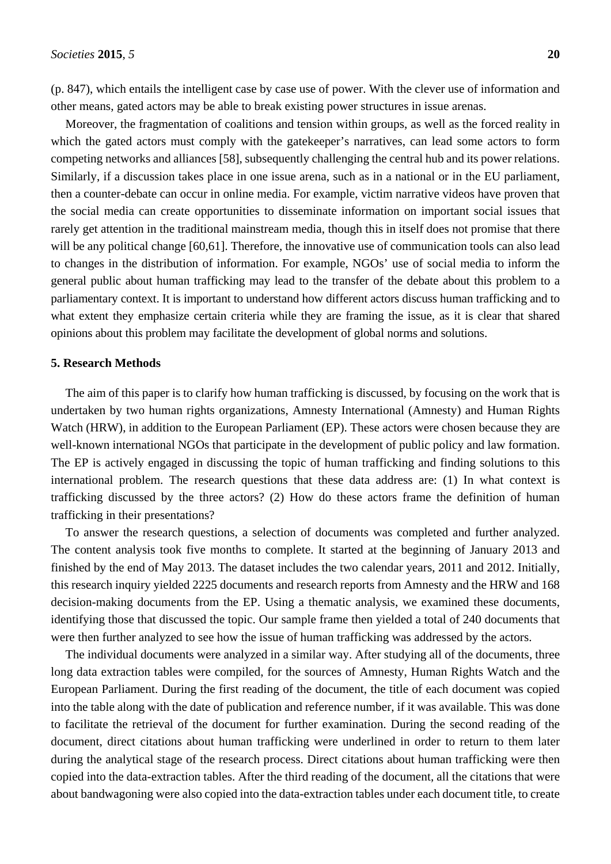(p. 847), which entails the intelligent case by case use of power. With the clever use of information and other means, gated actors may be able to break existing power structures in issue arenas.

Moreover, the fragmentation of coalitions and tension within groups, as well as the forced reality in which the gated actors must comply with the gatekeeper's narratives, can lead some actors to form competing networks and alliances [58], subsequently challenging the central hub and its power relations. Similarly, if a discussion takes place in one issue arena, such as in a national or in the EU parliament, then a counter-debate can occur in online media. For example, victim narrative videos have proven that the social media can create opportunities to disseminate information on important social issues that rarely get attention in the traditional mainstream media, though this in itself does not promise that there will be any political change [60,61]. Therefore, the innovative use of communication tools can also lead to changes in the distribution of information. For example, NGOs' use of social media to inform the general public about human trafficking may lead to the transfer of the debate about this problem to a parliamentary context. It is important to understand how different actors discuss human trafficking and to what extent they emphasize certain criteria while they are framing the issue, as it is clear that shared opinions about this problem may facilitate the development of global norms and solutions.

#### **5. Research Methods**

The aim of this paper is to clarify how human trafficking is discussed, by focusing on the work that is undertaken by two human rights organizations, Amnesty International (Amnesty) and Human Rights Watch (HRW), in addition to the European Parliament (EP). These actors were chosen because they are well-known international NGOs that participate in the development of public policy and law formation. The EP is actively engaged in discussing the topic of human trafficking and finding solutions to this international problem. The research questions that these data address are: (1) In what context is trafficking discussed by the three actors? (2) How do these actors frame the definition of human trafficking in their presentations?

To answer the research questions, a selection of documents was completed and further analyzed. The content analysis took five months to complete. It started at the beginning of January 2013 and finished by the end of May 2013. The dataset includes the two calendar years, 2011 and 2012. Initially, this research inquiry yielded 2225 documents and research reports from Amnesty and the HRW and 168 decision-making documents from the EP. Using a thematic analysis, we examined these documents, identifying those that discussed the topic. Our sample frame then yielded a total of 240 documents that were then further analyzed to see how the issue of human trafficking was addressed by the actors.

The individual documents were analyzed in a similar way. After studying all of the documents, three long data extraction tables were compiled, for the sources of Amnesty, Human Rights Watch and the European Parliament. During the first reading of the document, the title of each document was copied into the table along with the date of publication and reference number, if it was available. This was done to facilitate the retrieval of the document for further examination. During the second reading of the document, direct citations about human trafficking were underlined in order to return to them later during the analytical stage of the research process. Direct citations about human trafficking were then copied into the data-extraction tables. After the third reading of the document, all the citations that were about bandwagoning were also copied into the data-extraction tables under each document title, to create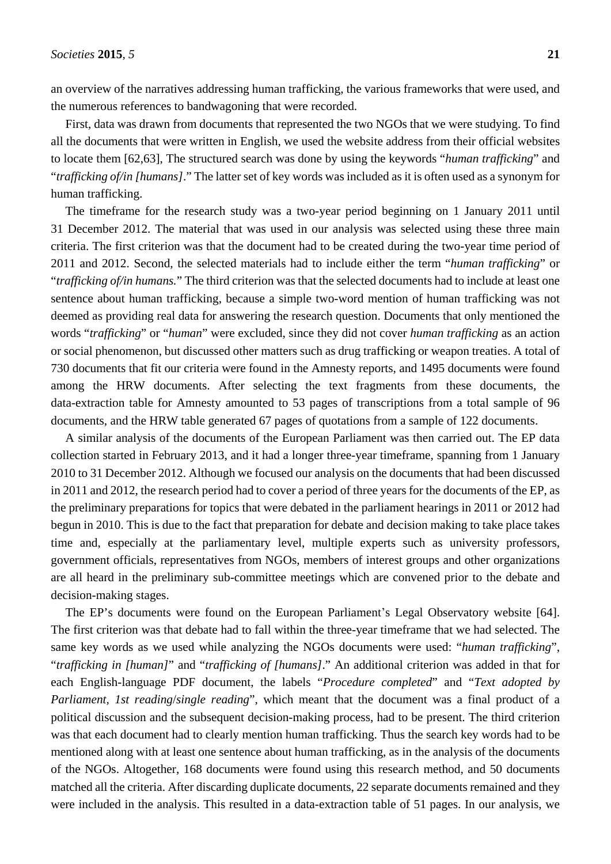an overview of the narratives addressing human trafficking, the various frameworks that were used, and the numerous references to bandwagoning that were recorded.

First, data was drawn from documents that represented the two NGOs that we were studying. To find all the documents that were written in English, we used the website address from their official websites to locate them [62,63], The structured search was done by using the keywords "*human trafficking*" and "*trafficking of/in [humans]*." The latter set of key words was included as it is often used as a synonym for human trafficking.

The timeframe for the research study was a two-year period beginning on 1 January 2011 until 31 December 2012. The material that was used in our analysis was selected using these three main criteria. The first criterion was that the document had to be created during the two-year time period of 2011 and 2012. Second, the selected materials had to include either the term "*human trafficking*" or "*trafficking of/in humans.*" The third criterion was that the selected documents had to include at least one sentence about human trafficking, because a simple two-word mention of human trafficking was not deemed as providing real data for answering the research question. Documents that only mentioned the words "*trafficking*" or "*human*" were excluded, since they did not cover *human trafficking* as an action or social phenomenon, but discussed other matters such as drug trafficking or weapon treaties. A total of 730 documents that fit our criteria were found in the Amnesty reports, and 1495 documents were found among the HRW documents. After selecting the text fragments from these documents, the data-extraction table for Amnesty amounted to 53 pages of transcriptions from a total sample of 96 documents, and the HRW table generated 67 pages of quotations from a sample of 122 documents.

A similar analysis of the documents of the European Parliament was then carried out. The EP data collection started in February 2013, and it had a longer three-year timeframe, spanning from 1 January 2010 to 31 December 2012. Although we focused our analysis on the documents that had been discussed in 2011 and 2012, the research period had to cover a period of three years for the documents of the EP, as the preliminary preparations for topics that were debated in the parliament hearings in 2011 or 2012 had begun in 2010. This is due to the fact that preparation for debate and decision making to take place takes time and, especially at the parliamentary level, multiple experts such as university professors, government officials, representatives from NGOs, members of interest groups and other organizations are all heard in the preliminary sub-committee meetings which are convened prior to the debate and decision-making stages.

The EP's documents were found on the European Parliament's Legal Observatory website [64]. The first criterion was that debate had to fall within the three-year timeframe that we had selected. The same key words as we used while analyzing the NGOs documents were used: "*human trafficking*", "*trafficking in [human]*" and "*trafficking of [humans]*." An additional criterion was added in that for each English-language PDF document, the labels "*Procedure completed*" and "*Text adopted by Parliament, 1st reading*/*single reading*", which meant that the document was a final product of a political discussion and the subsequent decision-making process, had to be present. The third criterion was that each document had to clearly mention human trafficking. Thus the search key words had to be mentioned along with at least one sentence about human trafficking, as in the analysis of the documents of the NGOs. Altogether, 168 documents were found using this research method, and 50 documents matched all the criteria. After discarding duplicate documents, 22 separate documents remained and they were included in the analysis. This resulted in a data-extraction table of 51 pages. In our analysis, we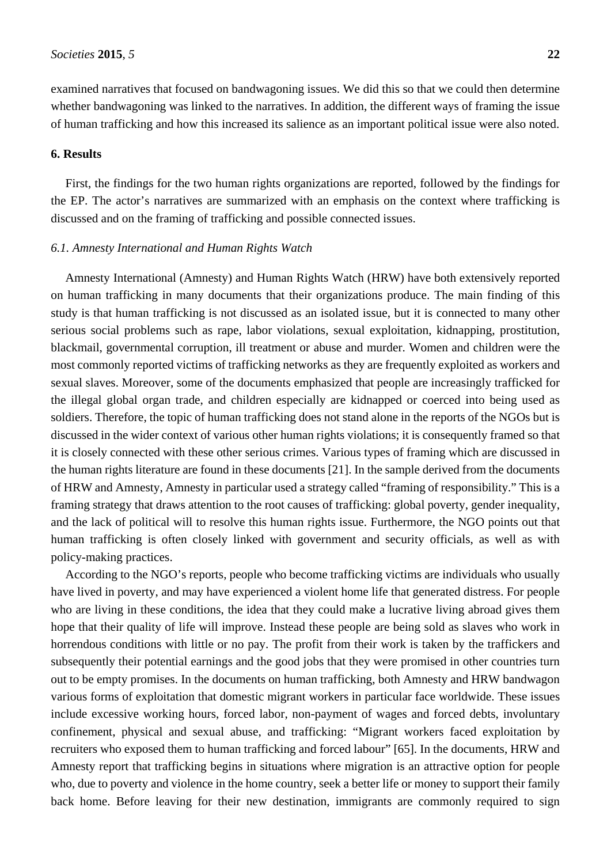examined narratives that focused on bandwagoning issues. We did this so that we could then determine whether bandwagoning was linked to the narratives. In addition, the different ways of framing the issue of human trafficking and how this increased its salience as an important political issue were also noted.

# **6. Results**

First, the findings for the two human rights organizations are reported, followed by the findings for the EP. The actor's narratives are summarized with an emphasis on the context where trafficking is discussed and on the framing of trafficking and possible connected issues.

## *6.1. Amnesty International and Human Rights Watch*

Amnesty International (Amnesty) and Human Rights Watch (HRW) have both extensively reported on human trafficking in many documents that their organizations produce. The main finding of this study is that human trafficking is not discussed as an isolated issue, but it is connected to many other serious social problems such as rape, labor violations, sexual exploitation, kidnapping, prostitution, blackmail, governmental corruption, ill treatment or abuse and murder. Women and children were the most commonly reported victims of trafficking networks as they are frequently exploited as workers and sexual slaves. Moreover, some of the documents emphasized that people are increasingly trafficked for the illegal global organ trade, and children especially are kidnapped or coerced into being used as soldiers. Therefore, the topic of human trafficking does not stand alone in the reports of the NGOs but is discussed in the wider context of various other human rights violations; it is consequently framed so that it is closely connected with these other serious crimes. Various types of framing which are discussed in the human rights literature are found in these documents [21]. In the sample derived from the documents of HRW and Amnesty, Amnesty in particular used a strategy called "framing of responsibility." This is a framing strategy that draws attention to the root causes of trafficking: global poverty, gender inequality, and the lack of political will to resolve this human rights issue. Furthermore, the NGO points out that human trafficking is often closely linked with government and security officials, as well as with policy-making practices.

According to the NGO's reports, people who become trafficking victims are individuals who usually have lived in poverty, and may have experienced a violent home life that generated distress. For people who are living in these conditions, the idea that they could make a lucrative living abroad gives them hope that their quality of life will improve. Instead these people are being sold as slaves who work in horrendous conditions with little or no pay. The profit from their work is taken by the traffickers and subsequently their potential earnings and the good jobs that they were promised in other countries turn out to be empty promises. In the documents on human trafficking, both Amnesty and HRW bandwagon various forms of exploitation that domestic migrant workers in particular face worldwide. These issues include excessive working hours, forced labor, non-payment of wages and forced debts, involuntary confinement, physical and sexual abuse, and trafficking: "Migrant workers faced exploitation by recruiters who exposed them to human trafficking and forced labour" [65]. In the documents, HRW and Amnesty report that trafficking begins in situations where migration is an attractive option for people who, due to poverty and violence in the home country, seek a better life or money to support their family back home. Before leaving for their new destination, immigrants are commonly required to sign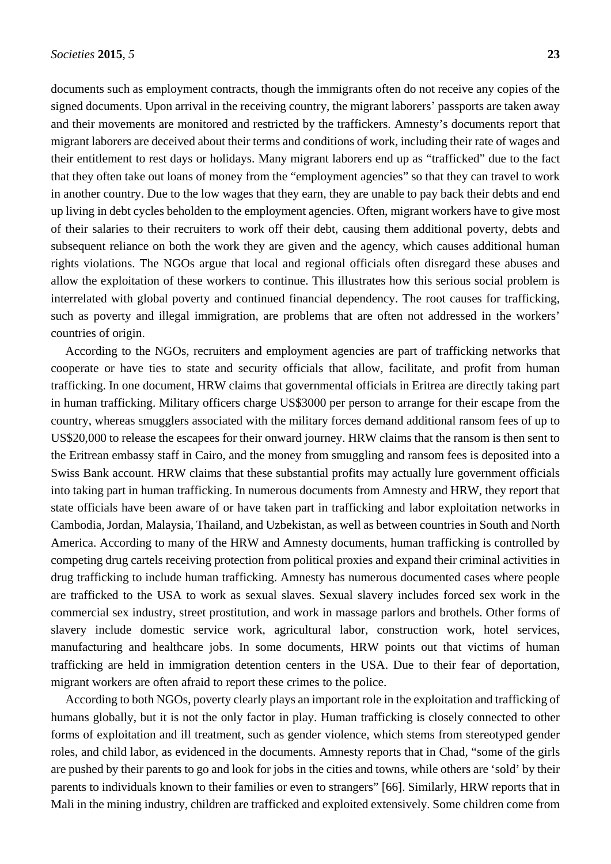documents such as employment contracts, though the immigrants often do not receive any copies of the signed documents. Upon arrival in the receiving country, the migrant laborers' passports are taken away and their movements are monitored and restricted by the traffickers. Amnesty's documents report that migrant laborers are deceived about their terms and conditions of work, including their rate of wages and their entitlement to rest days or holidays. Many migrant laborers end up as "trafficked" due to the fact that they often take out loans of money from the "employment agencies" so that they can travel to work in another country. Due to the low wages that they earn, they are unable to pay back their debts and end up living in debt cycles beholden to the employment agencies. Often, migrant workers have to give most of their salaries to their recruiters to work off their debt, causing them additional poverty, debts and subsequent reliance on both the work they are given and the agency, which causes additional human rights violations. The NGOs argue that local and regional officials often disregard these abuses and allow the exploitation of these workers to continue. This illustrates how this serious social problem is interrelated with global poverty and continued financial dependency. The root causes for trafficking, such as poverty and illegal immigration, are problems that are often not addressed in the workers' countries of origin.

According to the NGOs, recruiters and employment agencies are part of trafficking networks that cooperate or have ties to state and security officials that allow, facilitate, and profit from human trafficking. In one document, HRW claims that governmental officials in Eritrea are directly taking part in human trafficking. Military officers charge US\$3000 per person to arrange for their escape from the country, whereas smugglers associated with the military forces demand additional ransom fees of up to US\$20,000 to release the escapees for their onward journey. HRW claims that the ransom is then sent to the Eritrean embassy staff in Cairo, and the money from smuggling and ransom fees is deposited into a Swiss Bank account. HRW claims that these substantial profits may actually lure government officials into taking part in human trafficking. In numerous documents from Amnesty and HRW, they report that state officials have been aware of or have taken part in trafficking and labor exploitation networks in Cambodia, Jordan, Malaysia, Thailand, and Uzbekistan, as well as between countries in South and North America. According to many of the HRW and Amnesty documents, human trafficking is controlled by competing drug cartels receiving protection from political proxies and expand their criminal activities in drug trafficking to include human trafficking. Amnesty has numerous documented cases where people are trafficked to the USA to work as sexual slaves. Sexual slavery includes forced sex work in the commercial sex industry, street prostitution, and work in massage parlors and brothels. Other forms of slavery include domestic service work, agricultural labor, construction work, hotel services, manufacturing and healthcare jobs. In some documents, HRW points out that victims of human trafficking are held in immigration detention centers in the USA. Due to their fear of deportation, migrant workers are often afraid to report these crimes to the police.

According to both NGOs, poverty clearly plays an important role in the exploitation and trafficking of humans globally, but it is not the only factor in play. Human trafficking is closely connected to other forms of exploitation and ill treatment, such as gender violence, which stems from stereotyped gender roles, and child labor, as evidenced in the documents. Amnesty reports that in Chad, "some of the girls are pushed by their parents to go and look for jobs in the cities and towns, while others are 'sold' by their parents to individuals known to their families or even to strangers" [66]. Similarly, HRW reports that in Mali in the mining industry, children are trafficked and exploited extensively. Some children come from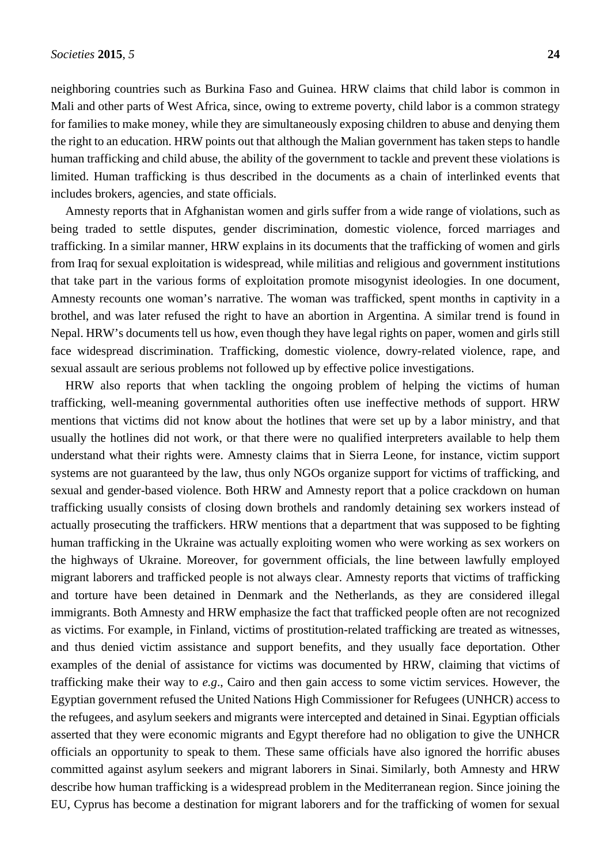neighboring countries such as Burkina Faso and Guinea. HRW claims that child labor is common in Mali and other parts of West Africa, since, owing to extreme poverty, child labor is a common strategy for families to make money, while they are simultaneously exposing children to abuse and denying them the right to an education. HRW points out that although the Malian government has taken steps to handle human trafficking and child abuse, the ability of the government to tackle and prevent these violations is limited. Human trafficking is thus described in the documents as a chain of interlinked events that includes brokers, agencies, and state officials.

Amnesty reports that in Afghanistan women and girls suffer from a wide range of violations, such as being traded to settle disputes, gender discrimination, domestic violence, forced marriages and trafficking. In a similar manner, HRW explains in its documents that the trafficking of women and girls from Iraq for sexual exploitation is widespread, while militias and religious and government institutions that take part in the various forms of exploitation promote misogynist ideologies. In one document, Amnesty recounts one woman's narrative. The woman was trafficked, spent months in captivity in a brothel, and was later refused the right to have an abortion in Argentina. A similar trend is found in Nepal. HRW's documents tell us how, even though they have legal rights on paper, women and girls still face widespread discrimination. Trafficking, domestic violence, dowry-related violence, rape, and sexual assault are serious problems not followed up by effective police investigations.

HRW also reports that when tackling the ongoing problem of helping the victims of human trafficking, well-meaning governmental authorities often use ineffective methods of support. HRW mentions that victims did not know about the hotlines that were set up by a labor ministry, and that usually the hotlines did not work, or that there were no qualified interpreters available to help them understand what their rights were. Amnesty claims that in Sierra Leone, for instance, victim support systems are not guaranteed by the law, thus only NGOs organize support for victims of trafficking, and sexual and gender-based violence. Both HRW and Amnesty report that a police crackdown on human trafficking usually consists of closing down brothels and randomly detaining sex workers instead of actually prosecuting the traffickers. HRW mentions that a department that was supposed to be fighting human trafficking in the Ukraine was actually exploiting women who were working as sex workers on the highways of Ukraine. Moreover, for government officials, the line between lawfully employed migrant laborers and trafficked people is not always clear. Amnesty reports that victims of trafficking and torture have been detained in Denmark and the Netherlands, as they are considered illegal immigrants. Both Amnesty and HRW emphasize the fact that trafficked people often are not recognized as victims. For example, in Finland, victims of prostitution-related trafficking are treated as witnesses, and thus denied victim assistance and support benefits, and they usually face deportation. Other examples of the denial of assistance for victims was documented by HRW, claiming that victims of trafficking make their way to *e.g*., Cairo and then gain access to some victim services. However, the Egyptian government refused the United Nations High Commissioner for Refugees (UNHCR) access to the refugees, and asylum seekers and migrants were intercepted and detained in Sinai. Egyptian officials asserted that they were economic migrants and Egypt therefore had no obligation to give the UNHCR officials an opportunity to speak to them. These same officials have also ignored the horrific abuses committed against asylum seekers and migrant laborers in Sinai. Similarly, both Amnesty and HRW describe how human trafficking is a widespread problem in the Mediterranean region. Since joining the EU, Cyprus has become a destination for migrant laborers and for the trafficking of women for sexual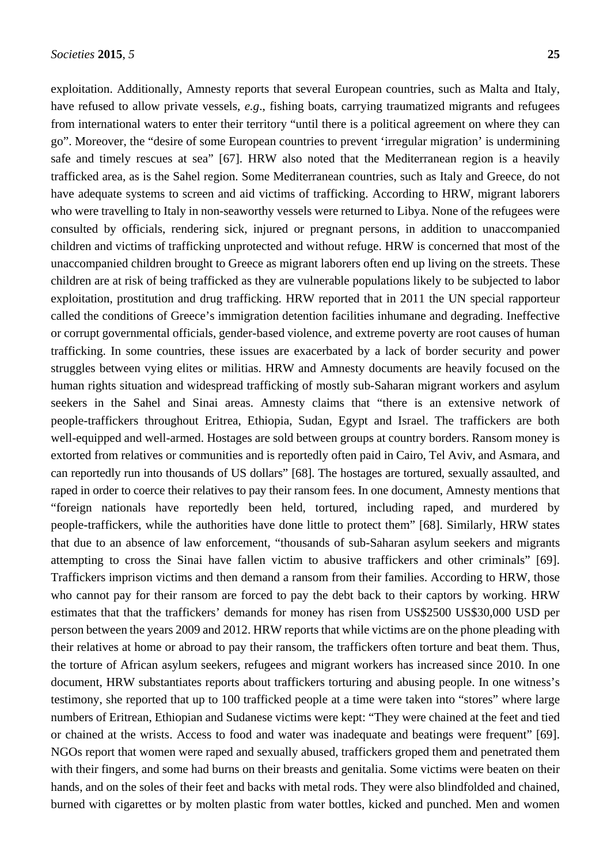exploitation. Additionally, Amnesty reports that several European countries, such as Malta and Italy, have refused to allow private vessels, *e.g*., fishing boats, carrying traumatized migrants and refugees from international waters to enter their territory "until there is a political agreement on where they can go". Moreover, the "desire of some European countries to prevent 'irregular migration' is undermining safe and timely rescues at sea" [67]. HRW also noted that the Mediterranean region is a heavily trafficked area, as is the Sahel region. Some Mediterranean countries, such as Italy and Greece, do not have adequate systems to screen and aid victims of trafficking. According to HRW, migrant laborers who were travelling to Italy in non-seaworthy vessels were returned to Libya. None of the refugees were consulted by officials, rendering sick, injured or pregnant persons, in addition to unaccompanied children and victims of trafficking unprotected and without refuge. HRW is concerned that most of the unaccompanied children brought to Greece as migrant laborers often end up living on the streets. These children are at risk of being trafficked as they are vulnerable populations likely to be subjected to labor exploitation, prostitution and drug trafficking. HRW reported that in 2011 the UN special rapporteur called the conditions of Greece's immigration detention facilities inhumane and degrading. Ineffective or corrupt governmental officials, gender-based violence, and extreme poverty are root causes of human trafficking. In some countries, these issues are exacerbated by a lack of border security and power struggles between vying elites or militias. HRW and Amnesty documents are heavily focused on the human rights situation and widespread trafficking of mostly sub-Saharan migrant workers and asylum seekers in the Sahel and Sinai areas. Amnesty claims that "there is an extensive network of people-traffickers throughout Eritrea, Ethiopia, Sudan, Egypt and Israel. The traffickers are both well-equipped and well-armed. Hostages are sold between groups at country borders. Ransom money is extorted from relatives or communities and is reportedly often paid in Cairo, Tel Aviv, and Asmara, and can reportedly run into thousands of US dollars" [68]. The hostages are tortured, sexually assaulted, and raped in order to coerce their relatives to pay their ransom fees. In one document, Amnesty mentions that "foreign nationals have reportedly been held, tortured, including raped, and murdered by people-traffickers, while the authorities have done little to protect them" [68]. Similarly, HRW states that due to an absence of law enforcement, "thousands of sub-Saharan asylum seekers and migrants attempting to cross the Sinai have fallen victim to abusive traffickers and other criminals" [69]. Traffickers imprison victims and then demand a ransom from their families. According to HRW, those who cannot pay for their ransom are forced to pay the debt back to their captors by working. HRW estimates that that the traffickers' demands for money has risen from US\$2500 US\$30,000 USD per person between the years 2009 and 2012. HRW reports that while victims are on the phone pleading with their relatives at home or abroad to pay their ransom, the traffickers often torture and beat them. Thus, the torture of African asylum seekers, refugees and migrant workers has increased since 2010. In one document, HRW substantiates reports about traffickers torturing and abusing people. In one witness's testimony, she reported that up to 100 trafficked people at a time were taken into "stores" where large numbers of Eritrean, Ethiopian and Sudanese victims were kept: "They were chained at the feet and tied or chained at the wrists. Access to food and water was inadequate and beatings were frequent" [69]. NGOs report that women were raped and sexually abused, traffickers groped them and penetrated them with their fingers, and some had burns on their breasts and genitalia. Some victims were beaten on their hands, and on the soles of their feet and backs with metal rods. They were also blindfolded and chained, burned with cigarettes or by molten plastic from water bottles, kicked and punched. Men and women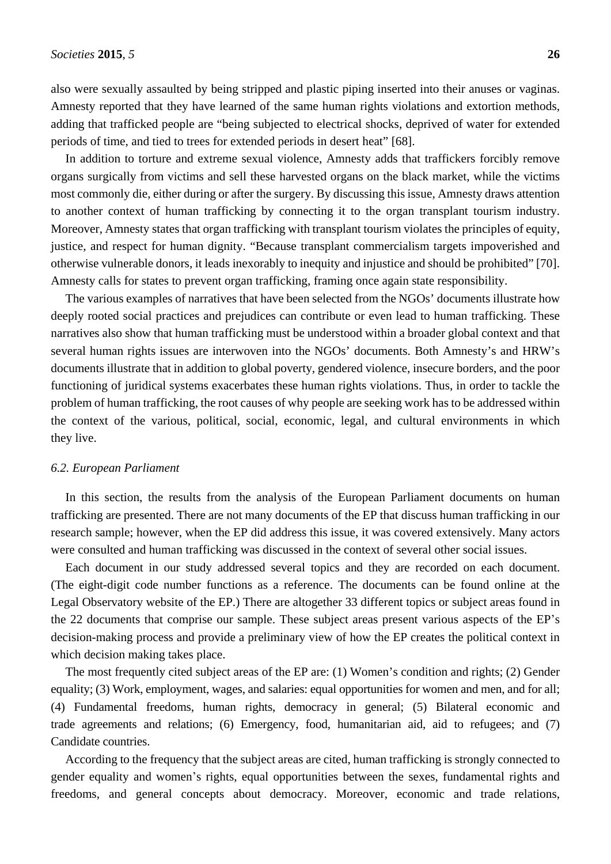also were sexually assaulted by being stripped and plastic piping inserted into their anuses or vaginas. Amnesty reported that they have learned of the same human rights violations and extortion methods, adding that trafficked people are "being subjected to electrical shocks, deprived of water for extended periods of time, and tied to trees for extended periods in desert heat" [68].

In addition to torture and extreme sexual violence, Amnesty adds that traffickers forcibly remove organs surgically from victims and sell these harvested organs on the black market, while the victims most commonly die, either during or after the surgery. By discussing this issue, Amnesty draws attention to another context of human trafficking by connecting it to the organ transplant tourism industry. Moreover, Amnesty states that organ trafficking with transplant tourism violates the principles of equity, justice, and respect for human dignity. "Because transplant commercialism targets impoverished and otherwise vulnerable donors, it leads inexorably to inequity and injustice and should be prohibited" [70]. Amnesty calls for states to prevent organ trafficking, framing once again state responsibility.

The various examples of narratives that have been selected from the NGOs' documents illustrate how deeply rooted social practices and prejudices can contribute or even lead to human trafficking. These narratives also show that human trafficking must be understood within a broader global context and that several human rights issues are interwoven into the NGOs' documents. Both Amnesty's and HRW's documents illustrate that in addition to global poverty, gendered violence, insecure borders, and the poor functioning of juridical systems exacerbates these human rights violations. Thus, in order to tackle the problem of human trafficking, the root causes of why people are seeking work has to be addressed within the context of the various, political, social, economic, legal, and cultural environments in which they live.

## *6.2. European Parliament*

In this section, the results from the analysis of the European Parliament documents on human trafficking are presented. There are not many documents of the EP that discuss human trafficking in our research sample; however, when the EP did address this issue, it was covered extensively. Many actors were consulted and human trafficking was discussed in the context of several other social issues.

Each document in our study addressed several topics and they are recorded on each document. (The eight-digit code number functions as a reference. The documents can be found online at the Legal Observatory website of the EP.) There are altogether 33 different topics or subject areas found in the 22 documents that comprise our sample. These subject areas present various aspects of the EP's decision-making process and provide a preliminary view of how the EP creates the political context in which decision making takes place.

The most frequently cited subject areas of the EP are: (1) Women's condition and rights; (2) Gender equality; (3) Work, employment, wages, and salaries: equal opportunities for women and men, and for all; (4) Fundamental freedoms, human rights, democracy in general; (5) Bilateral economic and trade agreements and relations; (6) Emergency, food, humanitarian aid, aid to refugees; and (7) Candidate countries.

According to the frequency that the subject areas are cited, human trafficking is strongly connected to gender equality and women's rights, equal opportunities between the sexes, fundamental rights and freedoms, and general concepts about democracy. Moreover, economic and trade relations,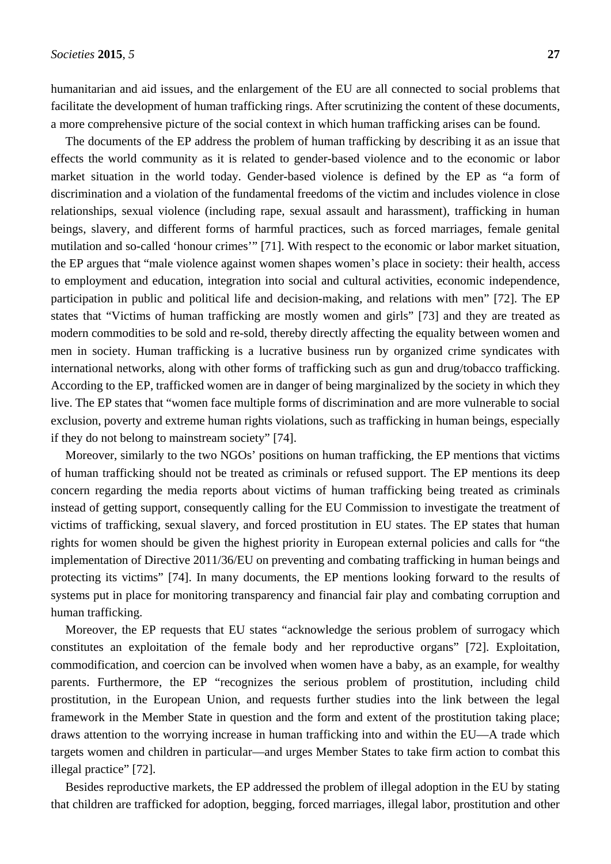humanitarian and aid issues, and the enlargement of the EU are all connected to social problems that facilitate the development of human trafficking rings. After scrutinizing the content of these documents, a more comprehensive picture of the social context in which human trafficking arises can be found.

The documents of the EP address the problem of human trafficking by describing it as an issue that effects the world community as it is related to gender-based violence and to the economic or labor market situation in the world today. Gender-based violence is defined by the EP as "a form of discrimination and a violation of the fundamental freedoms of the victim and includes violence in close relationships, sexual violence (including rape, sexual assault and harassment), trafficking in human beings, slavery, and different forms of harmful practices, such as forced marriages, female genital mutilation and so-called 'honour crimes'" [71]. With respect to the economic or labor market situation, the EP argues that "male violence against women shapes women's place in society: their health, access to employment and education, integration into social and cultural activities, economic independence, participation in public and political life and decision-making, and relations with men" [72]. The EP states that "Victims of human trafficking are mostly women and girls" [73] and they are treated as modern commodities to be sold and re-sold, thereby directly affecting the equality between women and men in society. Human trafficking is a lucrative business run by organized crime syndicates with international networks, along with other forms of trafficking such as gun and drug/tobacco trafficking. According to the EP, trafficked women are in danger of being marginalized by the society in which they live. The EP states that "women face multiple forms of discrimination and are more vulnerable to social exclusion, poverty and extreme human rights violations, such as trafficking in human beings, especially if they do not belong to mainstream society" [74].

Moreover, similarly to the two NGOs' positions on human trafficking, the EP mentions that victims of human trafficking should not be treated as criminals or refused support. The EP mentions its deep concern regarding the media reports about victims of human trafficking being treated as criminals instead of getting support, consequently calling for the EU Commission to investigate the treatment of victims of trafficking, sexual slavery, and forced prostitution in EU states. The EP states that human rights for women should be given the highest priority in European external policies and calls for "the implementation of Directive 2011/36/EU on preventing and combating trafficking in human beings and protecting its victims" [74]. In many documents, the EP mentions looking forward to the results of systems put in place for monitoring transparency and financial fair play and combating corruption and human trafficking.

Moreover, the EP requests that EU states "acknowledge the serious problem of surrogacy which constitutes an exploitation of the female body and her reproductive organs" [72]. Exploitation, commodification, and coercion can be involved when women have a baby, as an example, for wealthy parents. Furthermore, the EP "recognizes the serious problem of prostitution, including child prostitution, in the European Union, and requests further studies into the link between the legal framework in the Member State in question and the form and extent of the prostitution taking place; draws attention to the worrying increase in human trafficking into and within the EU—A trade which targets women and children in particular—and urges Member States to take firm action to combat this illegal practice" [72].

Besides reproductive markets, the EP addressed the problem of illegal adoption in the EU by stating that children are trafficked for adoption, begging, forced marriages, illegal labor, prostitution and other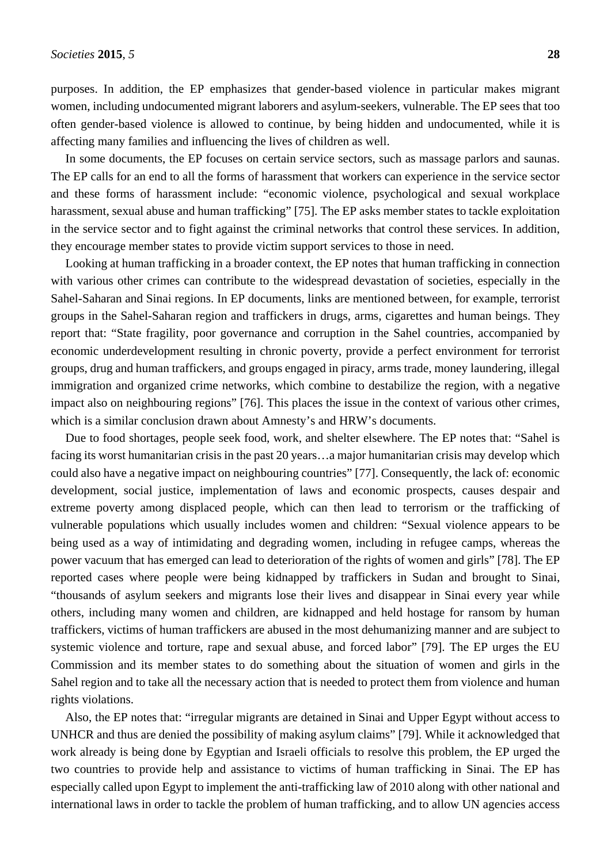purposes. In addition, the EP emphasizes that gender-based violence in particular makes migrant women, including undocumented migrant laborers and asylum-seekers, vulnerable. The EP sees that too often gender-based violence is allowed to continue, by being hidden and undocumented, while it is affecting many families and influencing the lives of children as well.

In some documents, the EP focuses on certain service sectors, such as massage parlors and saunas. The EP calls for an end to all the forms of harassment that workers can experience in the service sector and these forms of harassment include: "economic violence, psychological and sexual workplace harassment, sexual abuse and human trafficking" [75]. The EP asks member states to tackle exploitation in the service sector and to fight against the criminal networks that control these services. In addition, they encourage member states to provide victim support services to those in need.

Looking at human trafficking in a broader context, the EP notes that human trafficking in connection with various other crimes can contribute to the widespread devastation of societies, especially in the Sahel-Saharan and Sinai regions. In EP documents, links are mentioned between, for example, terrorist groups in the Sahel-Saharan region and traffickers in drugs, arms, cigarettes and human beings. They report that: "State fragility, poor governance and corruption in the Sahel countries, accompanied by economic underdevelopment resulting in chronic poverty, provide a perfect environment for terrorist groups, drug and human traffickers, and groups engaged in piracy, arms trade, money laundering, illegal immigration and organized crime networks, which combine to destabilize the region, with a negative impact also on neighbouring regions" [76]. This places the issue in the context of various other crimes, which is a similar conclusion drawn about Amnesty's and HRW's documents.

Due to food shortages, people seek food, work, and shelter elsewhere. The EP notes that: "Sahel is facing its worst humanitarian crisis in the past 20 years…a major humanitarian crisis may develop which could also have a negative impact on neighbouring countries" [77]. Consequently, the lack of: economic development, social justice, implementation of laws and economic prospects, causes despair and extreme poverty among displaced people, which can then lead to terrorism or the trafficking of vulnerable populations which usually includes women and children: "Sexual violence appears to be being used as a way of intimidating and degrading women, including in refugee camps, whereas the power vacuum that has emerged can lead to deterioration of the rights of women and girls" [78]. The EP reported cases where people were being kidnapped by traffickers in Sudan and brought to Sinai, "thousands of asylum seekers and migrants lose their lives and disappear in Sinai every year while others, including many women and children, are kidnapped and held hostage for ransom by human traffickers, victims of human traffickers are abused in the most dehumanizing manner and are subject to systemic violence and torture, rape and sexual abuse, and forced labor" [79]. The EP urges the EU Commission and its member states to do something about the situation of women and girls in the Sahel region and to take all the necessary action that is needed to protect them from violence and human rights violations.

Also, the EP notes that: "irregular migrants are detained in Sinai and Upper Egypt without access to UNHCR and thus are denied the possibility of making asylum claims" [79]. While it acknowledged that work already is being done by Egyptian and Israeli officials to resolve this problem, the EP urged the two countries to provide help and assistance to victims of human trafficking in Sinai. The EP has especially called upon Egypt to implement the anti-trafficking law of 2010 along with other national and international laws in order to tackle the problem of human trafficking, and to allow UN agencies access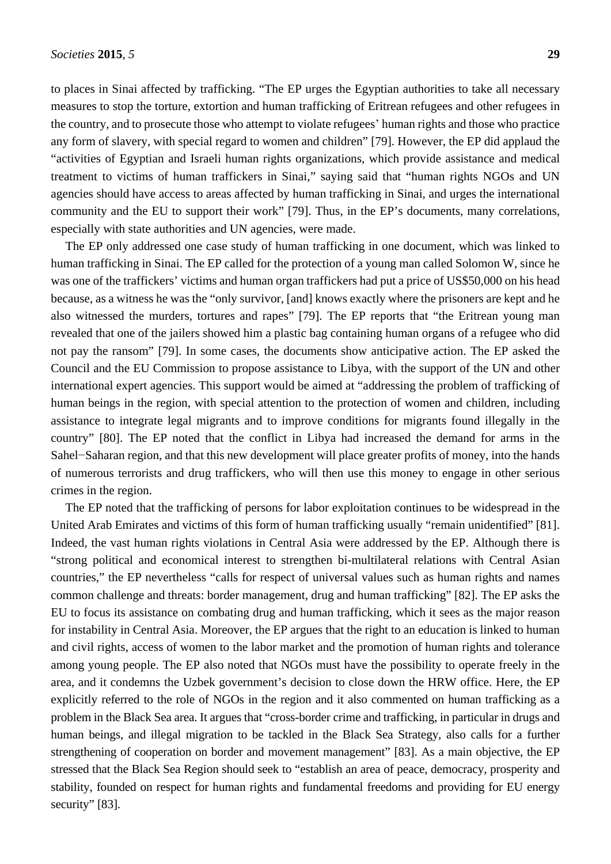to places in Sinai affected by trafficking. "The EP urges the Egyptian authorities to take all necessary measures to stop the torture, extortion and human trafficking of Eritrean refugees and other refugees in the country, and to prosecute those who attempt to violate refugees' human rights and those who practice any form of slavery, with special regard to women and children" [79]. However, the EP did applaud the "activities of Egyptian and Israeli human rights organizations, which provide assistance and medical treatment to victims of human traffickers in Sinai," saying said that "human rights NGOs and UN agencies should have access to areas affected by human trafficking in Sinai, and urges the international community and the EU to support their work" [79]. Thus, in the EP's documents, many correlations, especially with state authorities and UN agencies, were made.

The EP only addressed one case study of human trafficking in one document, which was linked to human trafficking in Sinai. The EP called for the protection of a young man called Solomon W, since he was one of the traffickers' victims and human organ traffickers had put a price of US\$50,000 on his head because, as a witness he was the "only survivor, [and] knows exactly where the prisoners are kept and he also witnessed the murders, tortures and rapes" [79]. The EP reports that "the Eritrean young man revealed that one of the jailers showed him a plastic bag containing human organs of a refugee who did not pay the ransom" [79]. In some cases, the documents show anticipative action. The EP asked the Council and the EU Commission to propose assistance to Libya, with the support of the UN and other international expert agencies. This support would be aimed at "addressing the problem of trafficking of human beings in the region, with special attention to the protection of women and children, including assistance to integrate legal migrants and to improve conditions for migrants found illegally in the country" [80]. The EP noted that the conflict in Libya had increased the demand for arms in the Sahel−Saharan region, and that this new development will place greater profits of money, into the hands of numerous terrorists and drug traffickers, who will then use this money to engage in other serious crimes in the region.

The EP noted that the trafficking of persons for labor exploitation continues to be widespread in the United Arab Emirates and victims of this form of human trafficking usually "remain unidentified" [81]. Indeed, the vast human rights violations in Central Asia were addressed by the EP. Although there is "strong political and economical interest to strengthen bi-multilateral relations with Central Asian countries," the EP nevertheless "calls for respect of universal values such as human rights and names common challenge and threats: border management, drug and human trafficking" [82]. The EP asks the EU to focus its assistance on combating drug and human trafficking, which it sees as the major reason for instability in Central Asia. Moreover, the EP argues that the right to an education is linked to human and civil rights, access of women to the labor market and the promotion of human rights and tolerance among young people. The EP also noted that NGOs must have the possibility to operate freely in the area, and it condemns the Uzbek government's decision to close down the HRW office. Here, the EP explicitly referred to the role of NGOs in the region and it also commented on human trafficking as a problem in the Black Sea area. It argues that "cross-border crime and trafficking, in particular in drugs and human beings, and illegal migration to be tackled in the Black Sea Strategy, also calls for a further strengthening of cooperation on border and movement management" [83]. As a main objective, the EP stressed that the Black Sea Region should seek to "establish an area of peace, democracy, prosperity and stability, founded on respect for human rights and fundamental freedoms and providing for EU energy security" [83].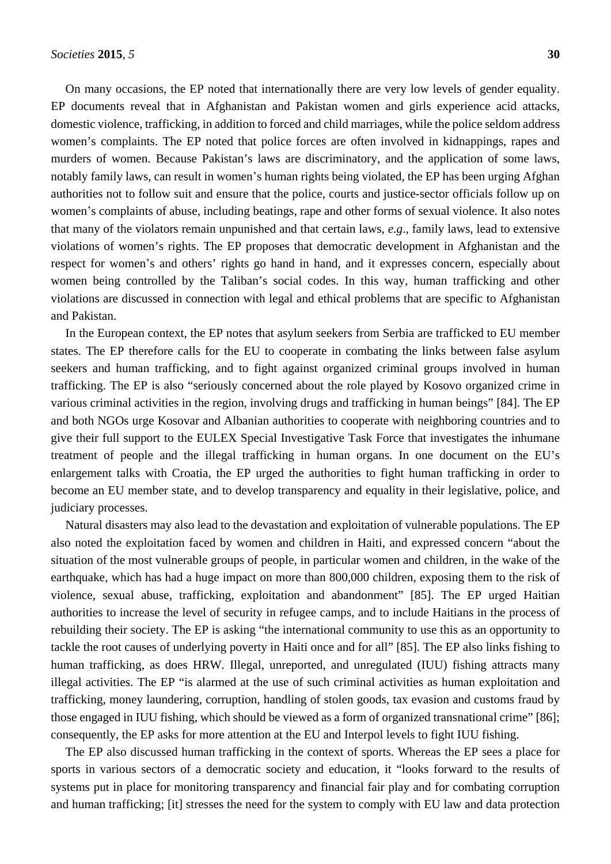On many occasions, the EP noted that internationally there are very low levels of gender equality. EP documents reveal that in Afghanistan and Pakistan women and girls experience acid attacks, domestic violence, trafficking, in addition to forced and child marriages, while the police seldom address women's complaints. The EP noted that police forces are often involved in kidnappings, rapes and murders of women. Because Pakistan's laws are discriminatory, and the application of some laws, notably family laws, can result in women's human rights being violated, the EP has been urging Afghan authorities not to follow suit and ensure that the police, courts and justice-sector officials follow up on women's complaints of abuse, including beatings, rape and other forms of sexual violence. It also notes that many of the violators remain unpunished and that certain laws, *e.g*., family laws, lead to extensive violations of women's rights. The EP proposes that democratic development in Afghanistan and the respect for women's and others' rights go hand in hand, and it expresses concern, especially about women being controlled by the Taliban's social codes. In this way, human trafficking and other violations are discussed in connection with legal and ethical problems that are specific to Afghanistan and Pakistan.

In the European context, the EP notes that asylum seekers from Serbia are trafficked to EU member states. The EP therefore calls for the EU to cooperate in combating the links between false asylum seekers and human trafficking, and to fight against organized criminal groups involved in human trafficking. The EP is also "seriously concerned about the role played by Kosovo organized crime in various criminal activities in the region, involving drugs and trafficking in human beings" [84]. The EP and both NGOs urge Kosovar and Albanian authorities to cooperate with neighboring countries and to give their full support to the EULEX Special Investigative Task Force that investigates the inhumane treatment of people and the illegal trafficking in human organs. In one document on the EU's enlargement talks with Croatia, the EP urged the authorities to fight human trafficking in order to become an EU member state, and to develop transparency and equality in their legislative, police, and judiciary processes.

Natural disasters may also lead to the devastation and exploitation of vulnerable populations. The EP also noted the exploitation faced by women and children in Haiti, and expressed concern "about the situation of the most vulnerable groups of people, in particular women and children, in the wake of the earthquake, which has had a huge impact on more than 800,000 children, exposing them to the risk of violence, sexual abuse, trafficking, exploitation and abandonment" [85]. The EP urged Haitian authorities to increase the level of security in refugee camps, and to include Haitians in the process of rebuilding their society. The EP is asking "the international community to use this as an opportunity to tackle the root causes of underlying poverty in Haiti once and for all" [85]. The EP also links fishing to human trafficking, as does HRW. Illegal, unreported, and unregulated (IUU) fishing attracts many illegal activities. The EP "is alarmed at the use of such criminal activities as human exploitation and trafficking, money laundering, corruption, handling of stolen goods, tax evasion and customs fraud by those engaged in IUU fishing, which should be viewed as a form of organized transnational crime" [86]; consequently, the EP asks for more attention at the EU and Interpol levels to fight IUU fishing.

The EP also discussed human trafficking in the context of sports. Whereas the EP sees a place for sports in various sectors of a democratic society and education, it "looks forward to the results of systems put in place for monitoring transparency and financial fair play and for combating corruption and human trafficking; [it] stresses the need for the system to comply with EU law and data protection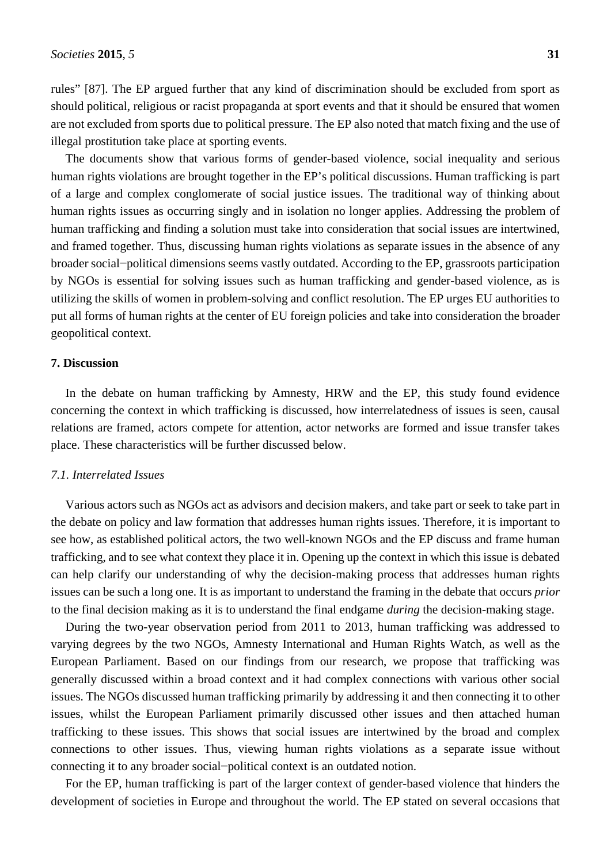rules" [87]. The EP argued further that any kind of discrimination should be excluded from sport as should political, religious or racist propaganda at sport events and that it should be ensured that women are not excluded from sports due to political pressure. The EP also noted that match fixing and the use of illegal prostitution take place at sporting events.

The documents show that various forms of gender-based violence, social inequality and serious human rights violations are brought together in the EP's political discussions. Human trafficking is part of a large and complex conglomerate of social justice issues. The traditional way of thinking about human rights issues as occurring singly and in isolation no longer applies. Addressing the problem of human trafficking and finding a solution must take into consideration that social issues are intertwined, and framed together. Thus, discussing human rights violations as separate issues in the absence of any broader social−political dimensions seems vastly outdated. According to the EP, grassroots participation by NGOs is essential for solving issues such as human trafficking and gender-based violence, as is utilizing the skills of women in problem-solving and conflict resolution. The EP urges EU authorities to put all forms of human rights at the center of EU foreign policies and take into consideration the broader geopolitical context.

#### **7. Discussion**

In the debate on human trafficking by Amnesty, HRW and the EP, this study found evidence concerning the context in which trafficking is discussed, how interrelatedness of issues is seen, causal relations are framed, actors compete for attention, actor networks are formed and issue transfer takes place. These characteristics will be further discussed below.

#### *7.1. Interrelated Issues*

Various actors such as NGOs act as advisors and decision makers, and take part or seek to take part in the debate on policy and law formation that addresses human rights issues. Therefore, it is important to see how, as established political actors, the two well-known NGOs and the EP discuss and frame human trafficking, and to see what context they place it in. Opening up the context in which this issue is debated can help clarify our understanding of why the decision-making process that addresses human rights issues can be such a long one. It is as important to understand the framing in the debate that occurs *prior* to the final decision making as it is to understand the final endgame *during* the decision-making stage.

During the two-year observation period from 2011 to 2013, human trafficking was addressed to varying degrees by the two NGOs, Amnesty International and Human Rights Watch, as well as the European Parliament. Based on our findings from our research, we propose that trafficking was generally discussed within a broad context and it had complex connections with various other social issues. The NGOs discussed human trafficking primarily by addressing it and then connecting it to other issues, whilst the European Parliament primarily discussed other issues and then attached human trafficking to these issues. This shows that social issues are intertwined by the broad and complex connections to other issues. Thus, viewing human rights violations as a separate issue without connecting it to any broader social−political context is an outdated notion.

For the EP, human trafficking is part of the larger context of gender-based violence that hinders the development of societies in Europe and throughout the world. The EP stated on several occasions that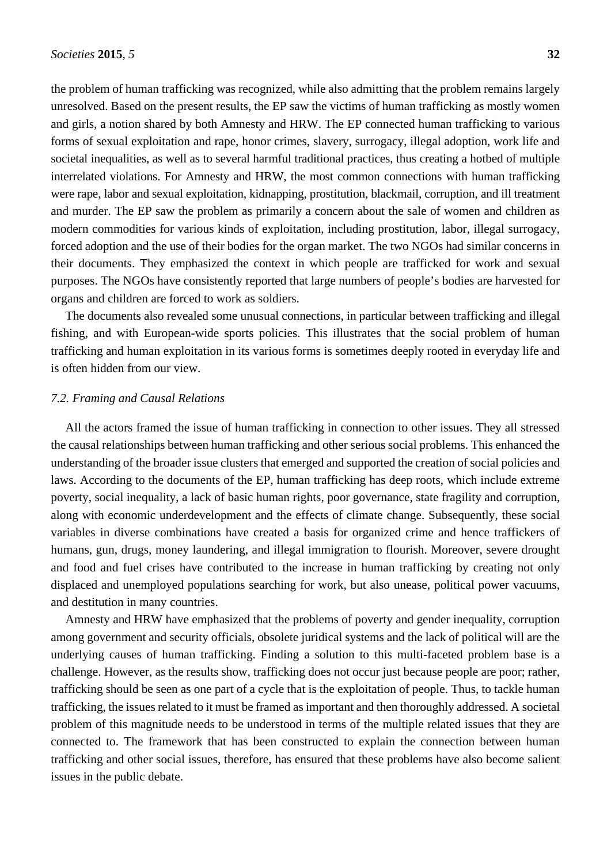the problem of human trafficking was recognized, while also admitting that the problem remains largely unresolved. Based on the present results, the EP saw the victims of human trafficking as mostly women and girls, a notion shared by both Amnesty and HRW. The EP connected human trafficking to various forms of sexual exploitation and rape, honor crimes, slavery, surrogacy, illegal adoption, work life and societal inequalities, as well as to several harmful traditional practices, thus creating a hotbed of multiple interrelated violations. For Amnesty and HRW, the most common connections with human trafficking were rape, labor and sexual exploitation, kidnapping, prostitution, blackmail, corruption, and ill treatment and murder. The EP saw the problem as primarily a concern about the sale of women and children as modern commodities for various kinds of exploitation, including prostitution, labor, illegal surrogacy, forced adoption and the use of their bodies for the organ market. The two NGOs had similar concerns in their documents. They emphasized the context in which people are trafficked for work and sexual purposes. The NGOs have consistently reported that large numbers of people's bodies are harvested for organs and children are forced to work as soldiers.

The documents also revealed some unusual connections, in particular between trafficking and illegal fishing, and with European-wide sports policies. This illustrates that the social problem of human trafficking and human exploitation in its various forms is sometimes deeply rooted in everyday life and is often hidden from our view.

# *7.2. Framing and Causal Relations*

All the actors framed the issue of human trafficking in connection to other issues. They all stressed the causal relationships between human trafficking and other serious social problems. This enhanced the understanding of the broader issue clusters that emerged and supported the creation of social policies and laws. According to the documents of the EP, human trafficking has deep roots, which include extreme poverty, social inequality, a lack of basic human rights, poor governance, state fragility and corruption, along with economic underdevelopment and the effects of climate change. Subsequently, these social variables in diverse combinations have created a basis for organized crime and hence traffickers of humans, gun, drugs, money laundering, and illegal immigration to flourish. Moreover, severe drought and food and fuel crises have contributed to the increase in human trafficking by creating not only displaced and unemployed populations searching for work, but also unease, political power vacuums, and destitution in many countries.

Amnesty and HRW have emphasized that the problems of poverty and gender inequality, corruption among government and security officials, obsolete juridical systems and the lack of political will are the underlying causes of human trafficking. Finding a solution to this multi-faceted problem base is a challenge. However, as the results show, trafficking does not occur just because people are poor; rather, trafficking should be seen as one part of a cycle that is the exploitation of people. Thus, to tackle human trafficking, the issues related to it must be framed as important and then thoroughly addressed. A societal problem of this magnitude needs to be understood in terms of the multiple related issues that they are connected to. The framework that has been constructed to explain the connection between human trafficking and other social issues, therefore, has ensured that these problems have also become salient issues in the public debate.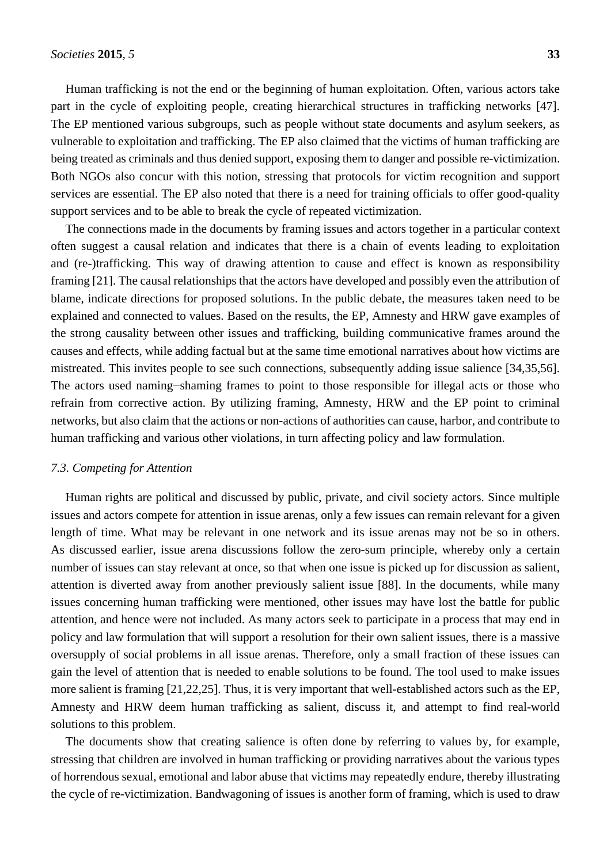Human trafficking is not the end or the beginning of human exploitation. Often, various actors take part in the cycle of exploiting people, creating hierarchical structures in trafficking networks [47]. The EP mentioned various subgroups, such as people without state documents and asylum seekers, as vulnerable to exploitation and trafficking. The EP also claimed that the victims of human trafficking are being treated as criminals and thus denied support, exposing them to danger and possible re-victimization. Both NGOs also concur with this notion, stressing that protocols for victim recognition and support services are essential. The EP also noted that there is a need for training officials to offer good-quality support services and to be able to break the cycle of repeated victimization.

The connections made in the documents by framing issues and actors together in a particular context often suggest a causal relation and indicates that there is a chain of events leading to exploitation and (re-)trafficking. This way of drawing attention to cause and effect is known as responsibility framing [21]. The causal relationships that the actors have developed and possibly even the attribution of blame, indicate directions for proposed solutions. In the public debate, the measures taken need to be explained and connected to values. Based on the results, the EP, Amnesty and HRW gave examples of the strong causality between other issues and trafficking, building communicative frames around the causes and effects, while adding factual but at the same time emotional narratives about how victims are mistreated. This invites people to see such connections, subsequently adding issue salience [34,35,56]. The actors used naming−shaming frames to point to those responsible for illegal acts or those who refrain from corrective action. By utilizing framing, Amnesty, HRW and the EP point to criminal networks, but also claim that the actions or non-actions of authorities can cause, harbor, and contribute to human trafficking and various other violations, in turn affecting policy and law formulation.

#### *7.3. Competing for Attention*

Human rights are political and discussed by public, private, and civil society actors. Since multiple issues and actors compete for attention in issue arenas, only a few issues can remain relevant for a given length of time. What may be relevant in one network and its issue arenas may not be so in others. As discussed earlier, issue arena discussions follow the zero-sum principle, whereby only a certain number of issues can stay relevant at once, so that when one issue is picked up for discussion as salient, attention is diverted away from another previously salient issue [88]. In the documents, while many issues concerning human trafficking were mentioned, other issues may have lost the battle for public attention, and hence were not included. As many actors seek to participate in a process that may end in policy and law formulation that will support a resolution for their own salient issues, there is a massive oversupply of social problems in all issue arenas. Therefore, only a small fraction of these issues can gain the level of attention that is needed to enable solutions to be found. The tool used to make issues more salient is framing [21,22,25]. Thus, it is very important that well-established actors such as the EP, Amnesty and HRW deem human trafficking as salient, discuss it, and attempt to find real-world solutions to this problem.

The documents show that creating salience is often done by referring to values by, for example, stressing that children are involved in human trafficking or providing narratives about the various types of horrendous sexual, emotional and labor abuse that victims may repeatedly endure, thereby illustrating the cycle of re-victimization. Bandwagoning of issues is another form of framing, which is used to draw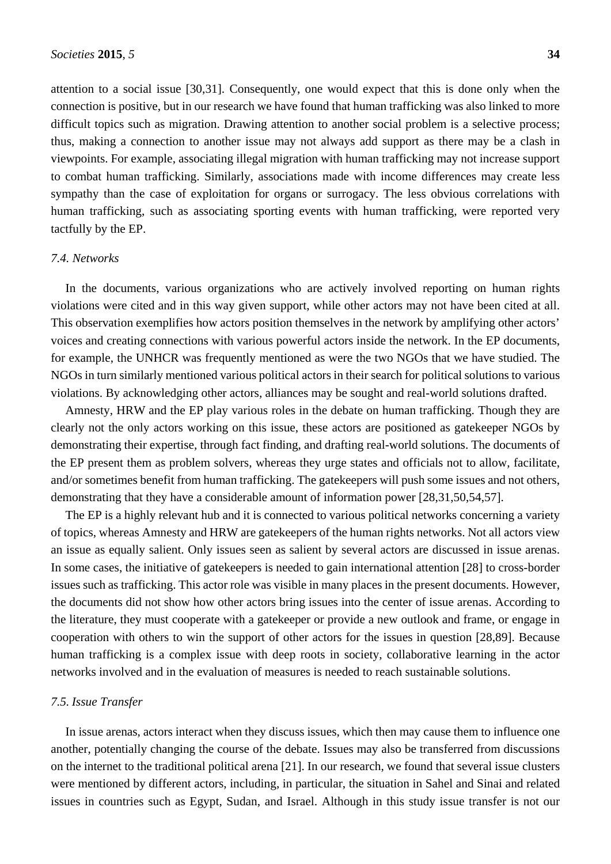attention to a social issue [30,31]. Consequently, one would expect that this is done only when the connection is positive, but in our research we have found that human trafficking was also linked to more difficult topics such as migration. Drawing attention to another social problem is a selective process; thus, making a connection to another issue may not always add support as there may be a clash in viewpoints. For example, associating illegal migration with human trafficking may not increase support to combat human trafficking. Similarly, associations made with income differences may create less sympathy than the case of exploitation for organs or surrogacy. The less obvious correlations with human trafficking, such as associating sporting events with human trafficking, were reported very tactfully by the EP.

# *7.4. Networks*

In the documents, various organizations who are actively involved reporting on human rights violations were cited and in this way given support, while other actors may not have been cited at all. This observation exemplifies how actors position themselves in the network by amplifying other actors' voices and creating connections with various powerful actors inside the network. In the EP documents, for example, the UNHCR was frequently mentioned as were the two NGOs that we have studied. The NGOs in turn similarly mentioned various political actors in their search for political solutions to various violations. By acknowledging other actors, alliances may be sought and real-world solutions drafted.

Amnesty, HRW and the EP play various roles in the debate on human trafficking. Though they are clearly not the only actors working on this issue, these actors are positioned as gatekeeper NGOs by demonstrating their expertise, through fact finding, and drafting real-world solutions. The documents of the EP present them as problem solvers, whereas they urge states and officials not to allow, facilitate, and/or sometimes benefit from human trafficking. The gatekeepers will push some issues and not others, demonstrating that they have a considerable amount of information power [28,31,50,54,57].

The EP is a highly relevant hub and it is connected to various political networks concerning a variety of topics, whereas Amnesty and HRW are gatekeepers of the human rights networks. Not all actors view an issue as equally salient. Only issues seen as salient by several actors are discussed in issue arenas. In some cases, the initiative of gatekeepers is needed to gain international attention [28] to cross-border issues such as trafficking. This actor role was visible in many places in the present documents. However, the documents did not show how other actors bring issues into the center of issue arenas. According to the literature, they must cooperate with a gatekeeper or provide a new outlook and frame, or engage in cooperation with others to win the support of other actors for the issues in question [28,89]. Because human trafficking is a complex issue with deep roots in society, collaborative learning in the actor networks involved and in the evaluation of measures is needed to reach sustainable solutions.

## *7.5. Issue Transfer*

In issue arenas, actors interact when they discuss issues, which then may cause them to influence one another, potentially changing the course of the debate. Issues may also be transferred from discussions on the internet to the traditional political arena [21]. In our research, we found that several issue clusters were mentioned by different actors, including, in particular, the situation in Sahel and Sinai and related issues in countries such as Egypt, Sudan, and Israel. Although in this study issue transfer is not our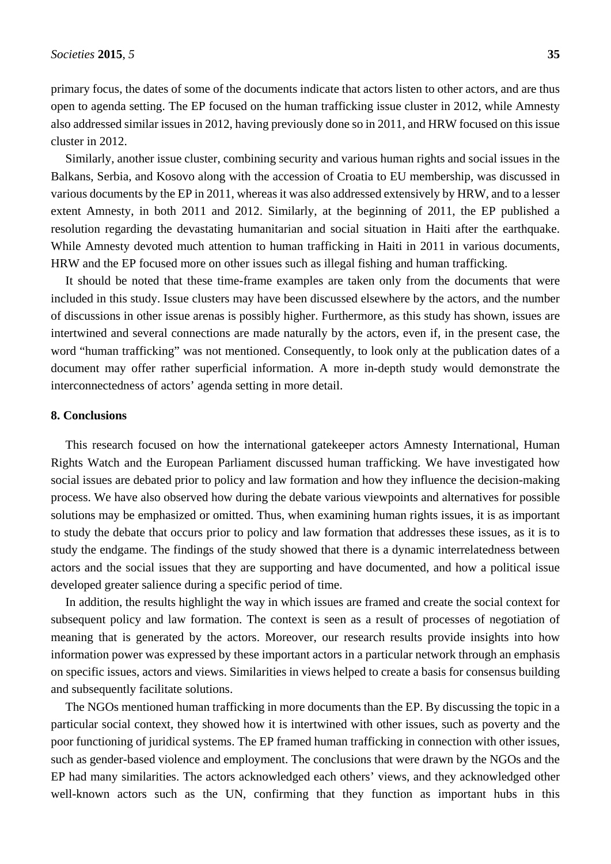primary focus, the dates of some of the documents indicate that actors listen to other actors, and are thus open to agenda setting. The EP focused on the human trafficking issue cluster in 2012, while Amnesty also addressed similar issues in 2012, having previously done so in 2011, and HRW focused on this issue cluster in 2012.

Similarly, another issue cluster, combining security and various human rights and social issues in the Balkans, Serbia, and Kosovo along with the accession of Croatia to EU membership, was discussed in various documents by the EP in 2011, whereas it was also addressed extensively by HRW, and to a lesser extent Amnesty, in both 2011 and 2012. Similarly, at the beginning of 2011, the EP published a resolution regarding the devastating humanitarian and social situation in Haiti after the earthquake. While Amnesty devoted much attention to human trafficking in Haiti in 2011 in various documents, HRW and the EP focused more on other issues such as illegal fishing and human trafficking.

It should be noted that these time-frame examples are taken only from the documents that were included in this study. Issue clusters may have been discussed elsewhere by the actors, and the number of discussions in other issue arenas is possibly higher. Furthermore, as this study has shown, issues are intertwined and several connections are made naturally by the actors, even if, in the present case, the word "human trafficking" was not mentioned. Consequently, to look only at the publication dates of a document may offer rather superficial information. A more in-depth study would demonstrate the interconnectedness of actors' agenda setting in more detail.

## **8. Conclusions**

This research focused on how the international gatekeeper actors Amnesty International, Human Rights Watch and the European Parliament discussed human trafficking. We have investigated how social issues are debated prior to policy and law formation and how they influence the decision-making process. We have also observed how during the debate various viewpoints and alternatives for possible solutions may be emphasized or omitted. Thus, when examining human rights issues, it is as important to study the debate that occurs prior to policy and law formation that addresses these issues, as it is to study the endgame. The findings of the study showed that there is a dynamic interrelatedness between actors and the social issues that they are supporting and have documented, and how a political issue developed greater salience during a specific period of time.

In addition, the results highlight the way in which issues are framed and create the social context for subsequent policy and law formation. The context is seen as a result of processes of negotiation of meaning that is generated by the actors. Moreover, our research results provide insights into how information power was expressed by these important actors in a particular network through an emphasis on specific issues, actors and views. Similarities in views helped to create a basis for consensus building and subsequently facilitate solutions.

The NGOs mentioned human trafficking in more documents than the EP. By discussing the topic in a particular social context, they showed how it is intertwined with other issues, such as poverty and the poor functioning of juridical systems. The EP framed human trafficking in connection with other issues, such as gender-based violence and employment. The conclusions that were drawn by the NGOs and the EP had many similarities. The actors acknowledged each others' views, and they acknowledged other well-known actors such as the UN, confirming that they function as important hubs in this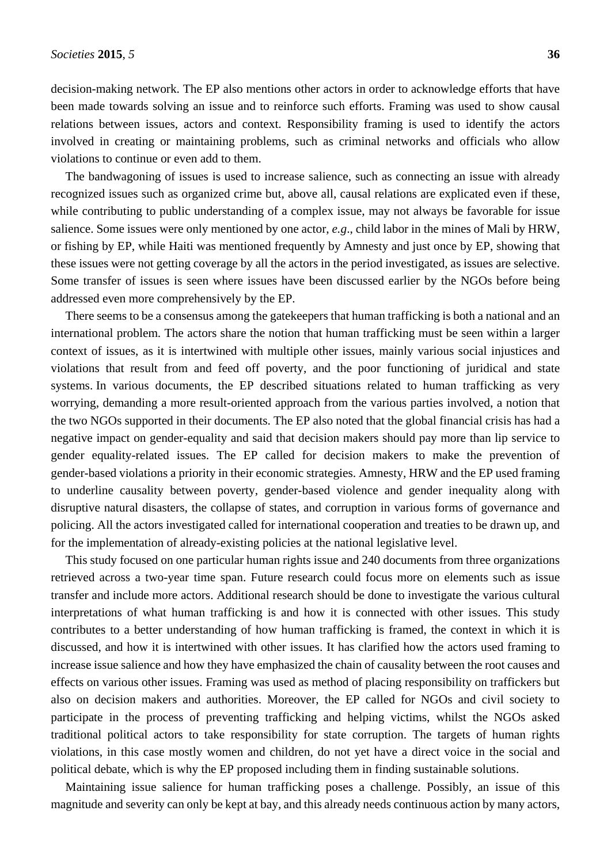decision-making network. The EP also mentions other actors in order to acknowledge efforts that have been made towards solving an issue and to reinforce such efforts. Framing was used to show causal relations between issues, actors and context. Responsibility framing is used to identify the actors involved in creating or maintaining problems, such as criminal networks and officials who allow violations to continue or even add to them.

The bandwagoning of issues is used to increase salience, such as connecting an issue with already recognized issues such as organized crime but, above all, causal relations are explicated even if these, while contributing to public understanding of a complex issue, may not always be favorable for issue salience. Some issues were only mentioned by one actor, *e.g*., child labor in the mines of Mali by HRW, or fishing by EP, while Haiti was mentioned frequently by Amnesty and just once by EP, showing that these issues were not getting coverage by all the actors in the period investigated, as issues are selective. Some transfer of issues is seen where issues have been discussed earlier by the NGOs before being addressed even more comprehensively by the EP.

There seems to be a consensus among the gatekeepers that human trafficking is both a national and an international problem. The actors share the notion that human trafficking must be seen within a larger context of issues, as it is intertwined with multiple other issues, mainly various social injustices and violations that result from and feed off poverty, and the poor functioning of juridical and state systems. In various documents, the EP described situations related to human trafficking as very worrying, demanding a more result-oriented approach from the various parties involved, a notion that the two NGOs supported in their documents. The EP also noted that the global financial crisis has had a negative impact on gender-equality and said that decision makers should pay more than lip service to gender equality-related issues. The EP called for decision makers to make the prevention of gender-based violations a priority in their economic strategies. Amnesty, HRW and the EP used framing to underline causality between poverty, gender-based violence and gender inequality along with disruptive natural disasters, the collapse of states, and corruption in various forms of governance and policing. All the actors investigated called for international cooperation and treaties to be drawn up, and for the implementation of already-existing policies at the national legislative level.

This study focused on one particular human rights issue and 240 documents from three organizations retrieved across a two-year time span. Future research could focus more on elements such as issue transfer and include more actors. Additional research should be done to investigate the various cultural interpretations of what human trafficking is and how it is connected with other issues. This study contributes to a better understanding of how human trafficking is framed, the context in which it is discussed, and how it is intertwined with other issues. It has clarified how the actors used framing to increase issue salience and how they have emphasized the chain of causality between the root causes and effects on various other issues. Framing was used as method of placing responsibility on traffickers but also on decision makers and authorities. Moreover, the EP called for NGOs and civil society to participate in the process of preventing trafficking and helping victims, whilst the NGOs asked traditional political actors to take responsibility for state corruption. The targets of human rights violations, in this case mostly women and children, do not yet have a direct voice in the social and political debate, which is why the EP proposed including them in finding sustainable solutions.

Maintaining issue salience for human trafficking poses a challenge. Possibly, an issue of this magnitude and severity can only be kept at bay, and this already needs continuous action by many actors,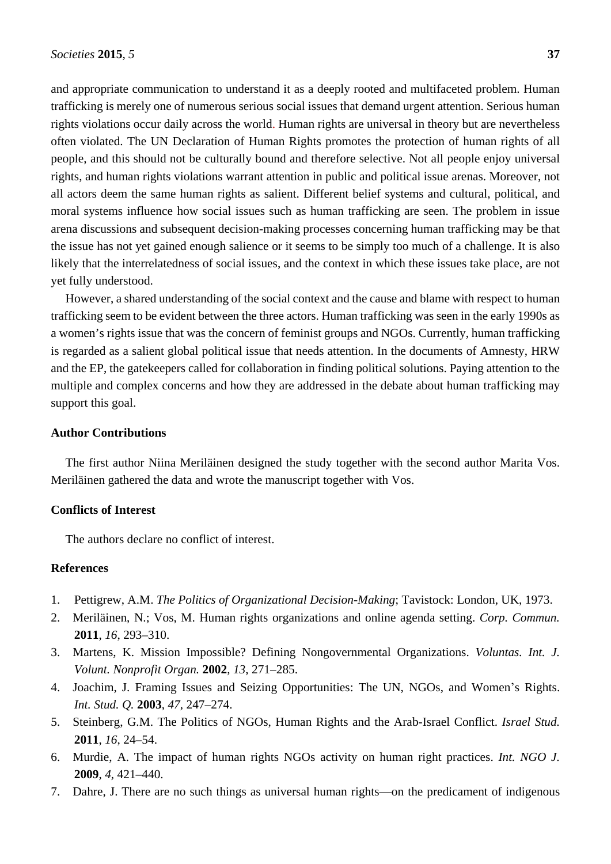and appropriate communication to understand it as a deeply rooted and multifaceted problem. Human trafficking is merely one of numerous serious social issues that demand urgent attention. Serious human rights violations occur daily across the world. Human rights are universal in theory but are nevertheless often violated. The UN Declaration of Human Rights promotes the protection of human rights of all people, and this should not be culturally bound and therefore selective. Not all people enjoy universal rights, and human rights violations warrant attention in public and political issue arenas. Moreover, not all actors deem the same human rights as salient. Different belief systems and cultural, political, and moral systems influence how social issues such as human trafficking are seen. The problem in issue arena discussions and subsequent decision-making processes concerning human trafficking may be that the issue has not yet gained enough salience or it seems to be simply too much of a challenge. It is also likely that the interrelatedness of social issues, and the context in which these issues take place, are not yet fully understood.

However, a shared understanding of the social context and the cause and blame with respect to human trafficking seem to be evident between the three actors. Human trafficking was seen in the early 1990s as a women's rights issue that was the concern of feminist groups and NGOs. Currently, human trafficking is regarded as a salient global political issue that needs attention. In the documents of Amnesty, HRW and the EP, the gatekeepers called for collaboration in finding political solutions. Paying attention to the multiple and complex concerns and how they are addressed in the debate about human trafficking may support this goal.

# **Author Contributions**

The first author Niina Meriläinen designed the study together with the second author Marita Vos. Meriläinen gathered the data and wrote the manuscript together with Vos.

#### **Conflicts of Interest**

The authors declare no conflict of interest.

# **References**

- 1. Pettigrew, A.M. *The Politics of Organizational Decision-Making*; Tavistock: London, UK, 1973.
- 2. Meriläinen, N.; Vos, M. Human rights organizations and online agenda setting. *Corp. Commun.*  **2011**, *16*, 293–310.
- 3. Martens, K. Mission Impossible? Defining Nongovernmental Organizations. *Voluntas. Int. J. Volunt. Nonprofit Organ.* **2002**, *13*, 271–285.
- 4. Joachim, J. Framing Issues and Seizing Opportunities: The UN, NGOs, and Women's Rights. *Int. Stud. Q.* **2003**, *47*, 247–274.
- 5. Steinberg, G.M. The Politics of NGOs, Human Rights and the Arab-Israel Conflict. *Israel Stud.* **2011**, *16*, 24–54.
- 6. Murdie, A. The impact of human rights NGOs activity on human right practices. *Int. NGO J.* **2009**, *4*, 421–440.
- 7. Dahre, J. There are no such things as universal human rights—on the predicament of indigenous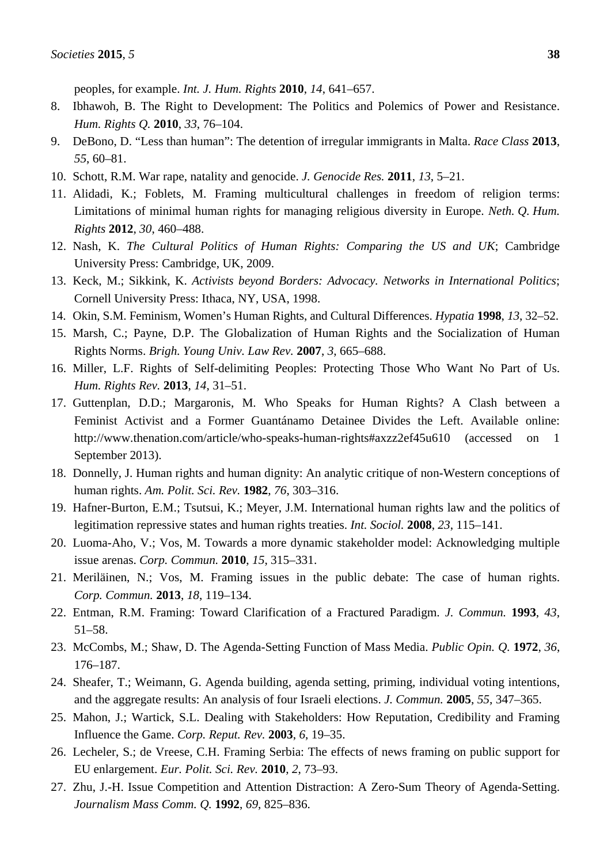peoples, for example. *Int. J. Hum. Rights* **2010**, *14*, 641–657.

- 8. Ibhawoh, B. The Right to Development: The Politics and Polemics of Power and Resistance. *Hum. Rights Q.* **2010**, *33*, 76–104.
- 9. DeBono, D. "Less than human": The detention of irregular immigrants in Malta. *Race Class* **2013**, *55*, 60–81.
- 10. Schott, R.M. War rape, natality and genocide. *J. Genocide Res.* **2011**, *13*, 5–21.
- 11. Alidadi, K.; Foblets, M. Framing multicultural challenges in freedom of religion terms: Limitations of minimal human rights for managing religious diversity in Europe. *Neth. Q. Hum. Rights* **2012**, *30*, 460–488.
- 12. Nash, K. *The Cultural Politics of Human Rights: Comparing the US and UK*; Cambridge University Press: Cambridge, UK, 2009.
- 13. Keck, M.; Sikkink, K. *Activists beyond Borders: Advocacy. Networks in International Politics*; Cornell University Press: Ithaca, NY, USA, 1998.
- 14. Okin, S.M. Feminism, Women's Human Rights, and Cultural Differences. *Hypatia* **1998**, *13*, 32–52.
- 15. Marsh, C.; Payne, D.P. The Globalization of Human Rights and the Socialization of Human Rights Norms. *Brigh. Young Univ. Law Rev.* **2007**, *3*, 665–688.
- 16. Miller, L.F. Rights of Self-delimiting Peoples: Protecting Those Who Want No Part of Us. *Hum. Rights Rev.* **2013**, *14*, 31–51.
- 17. Guttenplan, D.D.; Margaronis, M. Who Speaks for Human Rights? A Clash between a Feminist Activist and a Former Guantánamo Detainee Divides the Left. Available online: http://www.thenation.com/article/who-speaks-human-rights#axzz2ef45u610 (accessed on 1 September 2013).
- 18. Donnelly, J. Human rights and human dignity: An analytic critique of non-Western conceptions of human rights. *Am. Polit. Sci. Rev.* **1982**, *76*, 303–316.
- 19. Hafner-Burton, E.M.; Tsutsui, K.; Meyer, J.M. International human rights law and the politics of legitimation repressive states and human rights treaties. *Int. Sociol.* **2008**, *23*, 115–141.
- 20. Luoma-Aho, V.; Vos, M. Towards a more dynamic stakeholder model: Acknowledging multiple issue arenas. *Corp. Commun.* **2010**, *15*, 315–331.
- 21. Meriläinen, N.; Vos, M. Framing issues in the public debate: The case of human rights. *Corp. Commun.* **2013**, *18*, 119–134.
- 22. Entman, R.M. Framing: Toward Clarification of a Fractured Paradigm. *J. Commun.* **1993**, *43*, 51–58.
- 23. McCombs, M.; Shaw, D. The Agenda-Setting Function of Mass Media. *Public Opin. Q.* **1972**, *36*, 176–187.
- 24. Sheafer, T.; Weimann, G. Agenda building, agenda setting, priming, individual voting intentions, and the aggregate results: An analysis of four Israeli elections. *J. Commun.* **2005**, *55*, 347–365.
- 25. Mahon, J.; Wartick, S.L. Dealing with Stakeholders: How Reputation, Credibility and Framing Influence the Game. *Corp. Reput. Rev.* **2003**, *6*, 19–35.
- 26. Lecheler, S.; de Vreese, C.H. Framing Serbia: The effects of news framing on public support for EU enlargement. *Eur. Polit. Sci. Rev.* **2010**, *2*, 73–93.
- 27. Zhu, J.-H. Issue Competition and Attention Distraction: A Zero-Sum Theory of Agenda-Setting. *Journalism Mass Comm. Q.* **1992**, *69*, 825–836.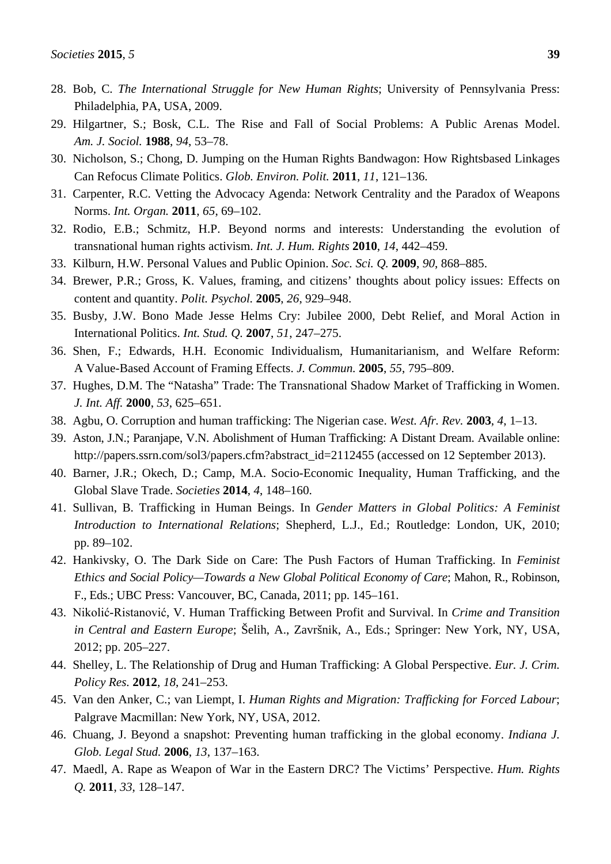- 28. Bob, C. *The International Struggle for New Human Rights*; University of Pennsylvania Press: Philadelphia, PA, USA, 2009.
- 29. Hilgartner, S.; Bosk, C.L. The Rise and Fall of Social Problems: A Public Arenas Model. *Am. J. Sociol.* **1988**, *94*, 53–78.
- 30. Nicholson, S.; Chong, D. Jumping on the Human Rights Bandwagon: How Rightsbased Linkages Can Refocus Climate Politics. *Glob. Environ. Polit.* **2011**, *11*, 121–136.
- 31. Carpenter, R.C. Vetting the Advocacy Agenda: Network Centrality and the Paradox of Weapons Norms. *Int. Organ.* **2011**, *65*, 69–102.
- 32. Rodio, E.B.; Schmitz, H.P. Beyond norms and interests: Understanding the evolution of transnational human rights activism. *Int. J. Hum. Rights* **2010**, *14*, 442–459.
- 33. Kilburn, H.W. Personal Values and Public Opinion. *Soc. Sci. Q.* **2009**, *90*, 868–885.
- 34. Brewer, P.R.; Gross, K. Values, framing, and citizens' thoughts about policy issues: Effects on content and quantity. *Polit. Psychol.* **2005**, *26*, 929–948.
- 35. Busby, J.W. Bono Made Jesse Helms Cry: Jubilee 2000, Debt Relief, and Moral Action in International Politics. *Int. Stud. Q.* **2007**, *51*, 247–275.
- 36. Shen, F.; Edwards, H.H. Economic Individualism, Humanitarianism, and Welfare Reform: A Value-Based Account of Framing Effects. *J. Commun.* **2005**, *55*, 795–809.
- 37. Hughes, D.M. The "Natasha" Trade: The Transnational Shadow Market of Trafficking in Women. *J. Int. Aff.* **2000**, *53*, 625–651.
- 38. Agbu, O. Corruption and human trafficking: The Nigerian case. *West. Afr. Rev.* **2003**, *4*, 1–13.
- 39. Aston, J.N.; Paranjape, V.N. Abolishment of Human Trafficking: A Distant Dream. Available online: [http://papers.ssrn.com/sol3/papers.cfm?abstract\\_id=2112455](http://papers.ssrn.com/sol3/papers.cfm?abstract_id=2112455) (accessed on 12 September 2013).
- 40. Barner, J.R.; Okech, D.; Camp, M.A. Socio-Economic Inequality, Human Trafficking, and the Global Slave Trade. *Societies* **2014**, *4*, 148–160.
- 41. Sullivan, B. Trafficking in Human Beings. In *Gender Matters in Global Politics: A Feminist Introduction to International Relations*; Shepherd, L.J., Ed.; Routledge: London, UK, 2010; pp. 89–102.
- 42. Hankivsky, O. The Dark Side on Care: The Push Factors of Human Trafficking. In *Feminist Ethics and Social Policy—Towards a New Global Political Economy of Care*; Mahon, R., Robinson, F., Eds.; UBC Press: Vancouver, BC, Canada, 2011; pp. 145–161.
- 43. Nikolić-Ristanović, V. Human Trafficking Between Profit and Survival. In *Crime and Transition in Central and Eastern Europe*; Šelih, A., Završnik, A., Eds.; Springer: New York, NY, USA, 2012; pp. 205–227.
- 44. Shelley, L. The Relationship of Drug and Human Trafficking: A Global Perspective. *Eur. J. Crim. Policy Res.* **2012**, *18*, 241–253.
- 45. Van den Anker, C.; van Liempt, I. *Human Rights and Migration: Trafficking for Forced Labour*; Palgrave Macmillan: New York, NY, USA, 2012.
- 46. Chuang, J. Beyond a snapshot: Preventing human trafficking in the global economy. *Indiana J. Glob. Legal Stud.* **2006**, *13*, 137–163.
- 47. Maedl, A. Rape as Weapon of War in the Eastern DRC? The Victims' Perspective. *Hum. Rights Q.* **2011**, *33*, 128–147.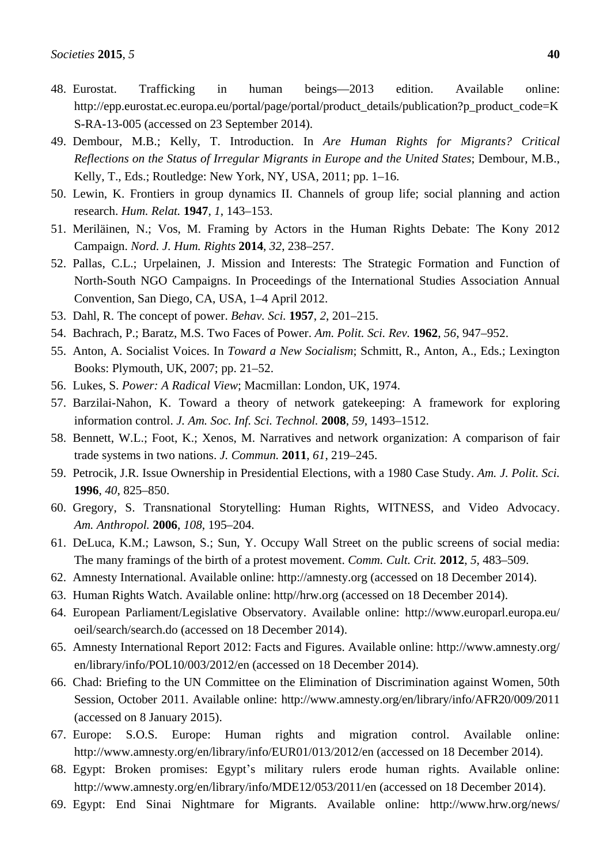- 48. Eurostat. Trafficking in human beings—2013 edition. Available online: http://epp.eurostat.ec.europa.eu/portal/page/portal/product\_details/publication?p\_product\_code=K S-RA-13-005 (accessed on 23 September 2014).
- 49. Dembour, M.B.; Kelly, T. Introduction. In *Are Human Rights for Migrants? Critical Reflections on the Status of Irregular Migrants in Europe and the United States*; Dembour, M.B., Kelly, T., Eds.; Routledge: New York, NY, USA, 2011; pp. 1–16.
- 50. Lewin, K. Frontiers in group dynamics II. Channels of group life; social planning and action research. *Hum. Relat.* **1947**, *1*, 143–153.
- 51. Meriläinen, N.; Vos, M. Framing by Actors in the Human Rights Debate: The Kony 2012 Campaign. *Nord. J. Hum. Rights* **2014**, *32*, 238–257.
- 52. Pallas, C.L.; Urpelainen, J. Mission and Interests: The Strategic Formation and Function of North-South NGO Campaigns. In Proceedings of the International Studies Association Annual Convention, San Diego, CA, USA, 1–4 April 2012.
- 53. Dahl, R. The concept of power. *Behav. Sci.* **1957**, *2*, 201–215.
- 54. Bachrach, P.; Baratz, M.S. Two Faces of Power. *Am. Polit. Sci. Rev.* **1962**, *56*, 947–952.
- 55. Anton, A. Socialist Voices. In *Toward a New Socialism*; Schmitt, R., Anton, A., Eds.; Lexington Books: Plymouth, UK, 2007; pp. 21–52.
- 56. Lukes, S. *Power: A Radical View*; Macmillan: London, UK, 1974.
- 57. Barzilai-Nahon, K. Toward a theory of network gatekeeping: A framework for exploring information control. *J. Am. Soc. Inf. Sci. Technol.* **2008**, *59*, 1493–1512.
- 58. Bennett, W.L.; Foot, K.; Xenos, M. Narratives and network organization: A comparison of fair trade systems in two nations. *J. Commun.* **2011**, *61*, 219–245.
- 59. Petrocik, J.R. Issue Ownership in Presidential Elections, with a 1980 Case Study. *Am. J. Polit. Sci.* **1996**, *40*, 825–850.
- 60. Gregory, S. Transnational Storytelling: Human Rights, WITNESS, and Video Advocacy. *Am. Anthropol.* **2006**, *108*, 195–204.
- 61. DeLuca, K.M.; Lawson, S.; Sun, Y. Occupy Wall Street on the public screens of social media: The many framings of the birth of a protest movement. *Comm. Cult. Crit.* **2012**, *5*, 483–509.
- 62. Amnesty International. Available online: [http://amnesty.org](http://amnesty.org/) (accessed on 18 December 2014).
- 63. Human Rights Watch. Available online: http//hrw.org (accessed on 18 December 2014).
- 64. [European Parliament](http://www.europarl.europa.eu/portal/en)[/Legislative Observatory.](http://www.europarl.europa.eu/oeil?lang=en) Available online: http://www.europarl.europa.eu/ oeil/search/search.do (accessed on 18 December 2014).
- 65. Amnesty International Report 2012: Facts and Figures. Available online: http://www.amnesty.org/ en/library/info/POL10/003/2012/en (accessed on 18 December 2014).
- 66. Chad: Briefing to the UN Committee on the Elimination of Discrimination against Women, 50th Session, October 2011. Available online: http://www.amnesty.org/en/library/info/AFR20/009/2011 (accessed on 8 January 2015).
- 67. Europe: S.O.S. Europe: Human rights and migration control. Available online: <http://www.amnesty.org/en/library/info/EUR01/013/2012/en> (accessed on 18 December 2014).
- 68. Egypt: Broken promises: Egypt's military rulers erode human rights. Available online: <http://www.amnesty.org/en/library/info/MDE12/053/2011/en> (accessed on 18 December 2014).
- 69. Egypt: End Sinai Nightmare for Migrants. Available online: [http://www.hrw.org/news/](http://www.hrw.org/news/2012/09/05/egypt-end-sinai-nightmare-migrants)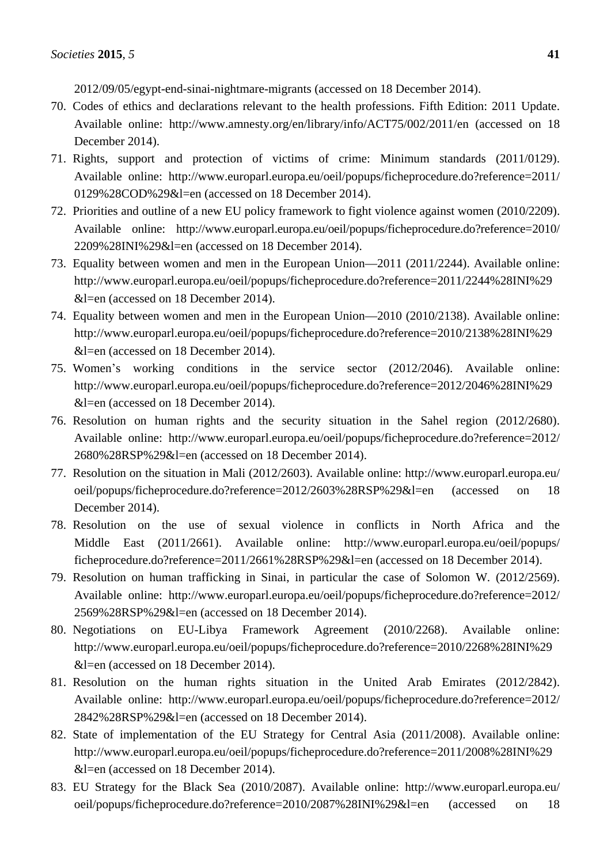[2012/09/05/egypt-end-sinai-nightmare-migrants](http://www.hrw.org/news/2012/09/05/egypt-end-sinai-nightmare-migrants) (accessed on 18 December 2014).

- 70. Codes of ethics and declarations relevant to the health professions. Fifth Edition: 2011 Update. Available online: <http://www.amnesty.org/en/library/info/ACT75/002/2011/en> (accessed on 18 December 2014).
- 71. Rights, support and protection of victims of crime: Minimum standards (2011/0129). Available online: http://www.europarl.europa.eu/oeil/popups/ficheprocedure.do?reference=2011/ 0129%28COD%29&l=en (accessed on 18 December 2014).
- 72. Priorities and outline of a new EU policy framework to fight violence against women (2010/2209). Available online: http://www.europarl.europa.eu/oeil/popups/ficheprocedure.do?reference=2010/ 2209%28INI%29&l=en (accessed on 18 December 2014).
- 73. Equality between women and men in the European Union—2011 (2011/2244). Available online: [http://www.europarl.europa.eu/oeil/popups/ficheprocedure.do?reference=2011/2244%28INI%29](http://www.europarl.europa.eu/oeil/popups/ficheprocedure.do?reference=2011/2244%28INI%29&l=en) [&l=en](http://www.europarl.europa.eu/oeil/popups/ficheprocedure.do?reference=2011/2244%28INI%29&l=en) (accessed on 18 December 2014).
- 74. Equality between women and men in the European Union—2010 (2010/2138). Available online: [http://www.europarl.europa.eu/oeil/popups/ficheprocedure.do?reference=2010/2138%28INI%29](http://www.europarl.europa.eu/oeil/popups/ficheprocedure.do?reference=2010/2138%28INI%29&l=en) [&l=en](http://www.europarl.europa.eu/oeil/popups/ficheprocedure.do?reference=2010/2138%28INI%29&l=en) (accessed on 18 December 2014).
- 75. Women's working conditions in the service sector (2012/2046). Available online: [http://www.europarl.europa.eu/oeil/popups/ficheprocedure.do?reference=2012/2046%28INI%29](http://www.europarl.europa.eu/oeil/popups/ficheprocedure.do?reference=2012/2046%28INI%29&l=en) [&l=en](http://www.europarl.europa.eu/oeil/popups/ficheprocedure.do?reference=2012/2046%28INI%29&l=en) (accessed on 18 December 2014).
- 76. Resolution on human rights and the security situation in the Sahel region (2012/2680). Available online: [http://www.europarl.europa.eu/oeil/popups/ficheprocedure.do?reference=2012/](http://www.europarl.europa.eu/oeil/popups/ficheprocedure.do?reference=2012/2680%28RSP%29&l=en) [2680%28RSP%29&l=en](http://www.europarl.europa.eu/oeil/popups/ficheprocedure.do?reference=2012/2680%28RSP%29&l=en) (accessed on 18 December 2014).
- 77. Resolution on the situation in Mali (2012/2603). Available online: http://www.europarl.europa.eu/ oeil/popups/ficheprocedure.do?reference=2012/2603%28RSP%29&l=en (accessed on 18 December 2014).
- 78. Resolution on the use of sexual violence in conflicts in North Africa and the Middle East (2011/2661). Available online: [http://www.europarl.europa.eu/oeil/popups/](http://www.europarl.europa.eu/oeil/popups/ficheprocedure.do?reference=2011/2661%28RSP%29&l=en) [ficheprocedure.do?reference=2011/2661%28RSP%29&l=en](http://www.europarl.europa.eu/oeil/popups/ficheprocedure.do?reference=2011/2661%28RSP%29&l=en) (accessed on 18 December 2014).
- 79. Resolution on human trafficking in Sinai, in particular the case of Solomon W. (2012/2569). Available online: http://www.europarl.europa.eu/oeil/popups/ficheprocedure.do?reference=2012/ 2569%28RSP%29&l=en (accessed on 18 December 2014).
- 80. Negotiations on EU-Libya Framework Agreement (2010/2268). Available online: [http://www.europarl.europa.eu/oeil/popups/ficheprocedure.do?reference=2010/2268%28INI%29](http://www.europarl.europa.eu/oeil/popups/ficheprocedure.do?reference=2010/2268%28INI%29&l=en) [&l=en](http://www.europarl.europa.eu/oeil/popups/ficheprocedure.do?reference=2010/2268%28INI%29&l=en) (accessed on 18 December 2014).
- 81. Resolution on the human rights situation in the United Arab Emirates (2012/2842). Available online: [http://www.europarl.europa.eu/oeil/popups/ficheprocedure.do?reference=2012/](http://www.europarl.europa.eu/oeil/popups/ficheprocedure.do?reference=2012/2842%28RSP%29&l=en) [2842%28RSP%29&l=en](http://www.europarl.europa.eu/oeil/popups/ficheprocedure.do?reference=2012/2842%28RSP%29&l=en) (accessed on 18 December 2014).
- 82. State of implementation of the EU Strategy for Central Asia (2011/2008). Available online: [http://www.europarl.europa.eu/oeil/popups/ficheprocedure.do?reference=2011/2008%28INI%29](http://www.europarl.europa.eu/oeil/popups/ficheprocedure.do?reference=2011/2008%28INI%29&l=en) [&l=en](http://www.europarl.europa.eu/oeil/popups/ficheprocedure.do?reference=2011/2008%28INI%29&l=en) (accessed on 18 December 2014).
- 83. EU Strategy for the Black Sea (2010/2087). Available online: [http://www.europarl.europa.eu/](http://www.europarl.europa.eu/oeil/popups/ficheprocedure.do?reference=2010/2087%28INI%29&l=en) [oeil/popups/ficheprocedure.do?reference=2010/2087%28INI%29&l=en](http://www.europarl.europa.eu/oeil/popups/ficheprocedure.do?reference=2010/2087%28INI%29&l=en) (accessed on 18